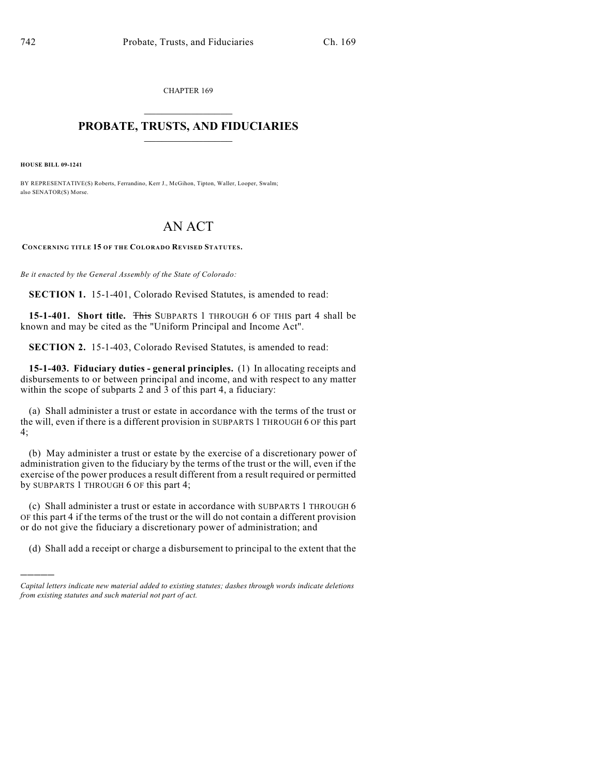CHAPTER 169  $\mathcal{L}_\text{max}$  . The set of the set of the set of the set of the set of the set of the set of the set of the set of the set of the set of the set of the set of the set of the set of the set of the set of the set of the set

## **PROBATE, TRUSTS, AND FIDUCIARIES**  $\overline{\phantom{a}}$

**HOUSE BILL 09-1241**

)))))

BY REPRESENTATIVE(S) Roberts, Ferrandino, Kerr J., McGihon, Tipton, Waller, Looper, Swalm; also SENATOR(S) Morse.

## AN ACT

**CONCERNING TITLE 15 OF THE COLORADO REVISED STATUTES.**

*Be it enacted by the General Assembly of the State of Colorado:*

**SECTION 1.** 15-1-401, Colorado Revised Statutes, is amended to read:

**15-1-401. Short title.** This SUBPARTS 1 THROUGH 6 OF THIS part 4 shall be known and may be cited as the "Uniform Principal and Income Act".

**SECTION 2.** 15-1-403, Colorado Revised Statutes, is amended to read:

**15-1-403. Fiduciary duties - general principles.** (1) In allocating receipts and disbursements to or between principal and income, and with respect to any matter within the scope of subparts 2 and 3 of this part 4, a fiduciary:

(a) Shall administer a trust or estate in accordance with the terms of the trust or the will, even if there is a different provision in SUBPARTS 1 THROUGH 6 OF this part 4;

(b) May administer a trust or estate by the exercise of a discretionary power of administration given to the fiduciary by the terms of the trust or the will, even if the exercise of the power produces a result different from a result required or permitted by SUBPARTS 1 THROUGH 6 OF this part 4;

(c) Shall administer a trust or estate in accordance with SUBPARTS 1 THROUGH 6 OF this part 4 if the terms of the trust or the will do not contain a different provision or do not give the fiduciary a discretionary power of administration; and

(d) Shall add a receipt or charge a disbursement to principal to the extent that the

*Capital letters indicate new material added to existing statutes; dashes through words indicate deletions from existing statutes and such material not part of act.*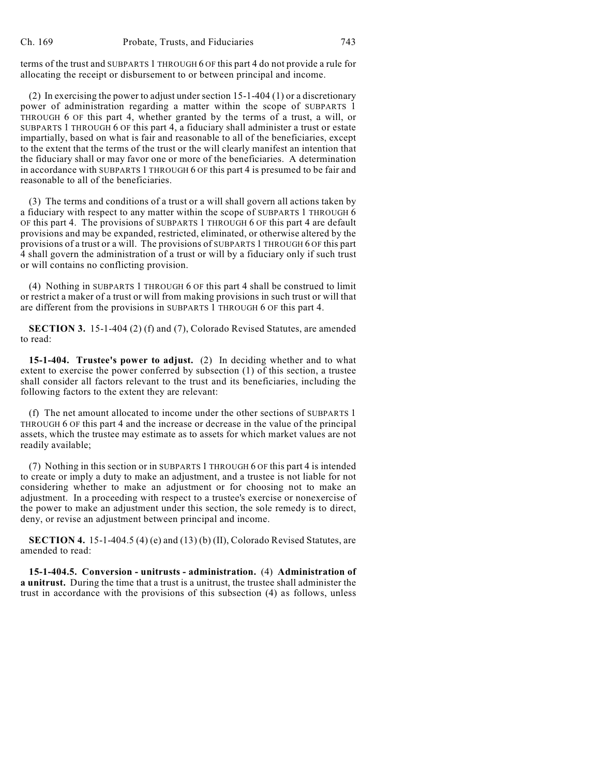terms of the trust and SUBPARTS 1 THROUGH 6 OF this part 4 do not provide a rule for allocating the receipt or disbursement to or between principal and income.

(2) In exercising the power to adjust under section 15-1-404 (1) or a discretionary power of administration regarding a matter within the scope of SUBPARTS 1 THROUGH 6 OF this part 4, whether granted by the terms of a trust, a will, or SUBPARTS 1 THROUGH 6 OF this part 4, a fiduciary shall administer a trust or estate impartially, based on what is fair and reasonable to all of the beneficiaries, except to the extent that the terms of the trust or the will clearly manifest an intention that the fiduciary shall or may favor one or more of the beneficiaries. A determination in accordance with SUBPARTS 1 THROUGH 6 OF this part 4 is presumed to be fair and reasonable to all of the beneficiaries.

(3) The terms and conditions of a trust or a will shall govern all actions taken by a fiduciary with respect to any matter within the scope of SUBPARTS 1 THROUGH 6 OF this part 4. The provisions of SUBPARTS 1 THROUGH 6 OF this part 4 are default provisions and may be expanded, restricted, eliminated, or otherwise altered by the provisions of a trust or a will. The provisions of SUBPARTS 1 THROUGH 6 OF this part 4 shall govern the administration of a trust or will by a fiduciary only if such trust or will contains no conflicting provision.

(4) Nothing in SUBPARTS 1 THROUGH 6 OF this part 4 shall be construed to limit or restrict a maker of a trust or will from making provisions in such trust or will that are different from the provisions in SUBPARTS 1 THROUGH 6 OF this part 4.

**SECTION 3.** 15-1-404 (2) (f) and (7), Colorado Revised Statutes, are amended to read:

**15-1-404. Trustee's power to adjust.** (2) In deciding whether and to what extent to exercise the power conferred by subsection (1) of this section, a trustee shall consider all factors relevant to the trust and its beneficiaries, including the following factors to the extent they are relevant:

(f) The net amount allocated to income under the other sections of SUBPARTS 1 THROUGH 6 OF this part 4 and the increase or decrease in the value of the principal assets, which the trustee may estimate as to assets for which market values are not readily available;

(7) Nothing in this section or in SUBPARTS 1 THROUGH 6 OF this part 4 is intended to create or imply a duty to make an adjustment, and a trustee is not liable for not considering whether to make an adjustment or for choosing not to make an adjustment. In a proceeding with respect to a trustee's exercise or nonexercise of the power to make an adjustment under this section, the sole remedy is to direct, deny, or revise an adjustment between principal and income.

**SECTION 4.** 15-1-404.5 (4) (e) and (13) (b) (II), Colorado Revised Statutes, are amended to read:

**15-1-404.5. Conversion - unitrusts - administration.** (4) **Administration of a unitrust.** During the time that a trust is a unitrust, the trustee shall administer the trust in accordance with the provisions of this subsection (4) as follows, unless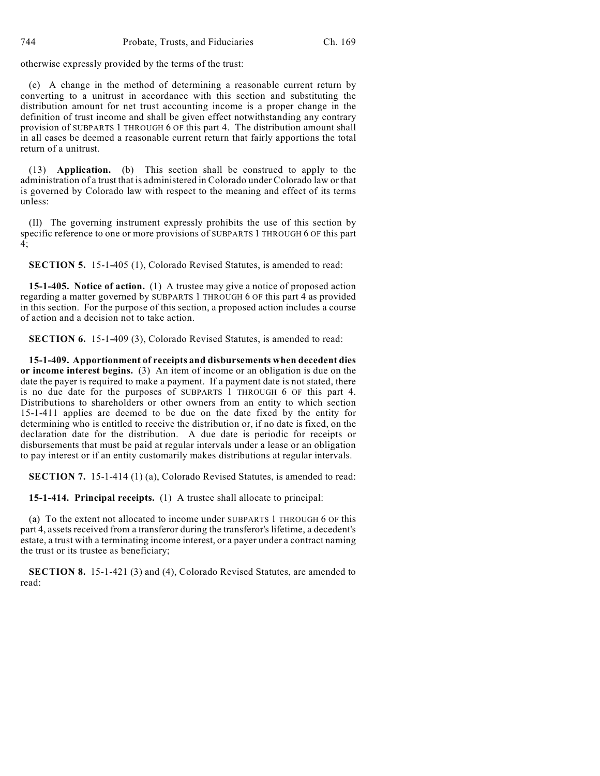otherwise expressly provided by the terms of the trust:

(e) A change in the method of determining a reasonable current return by converting to a unitrust in accordance with this section and substituting the distribution amount for net trust accounting income is a proper change in the definition of trust income and shall be given effect notwithstanding any contrary provision of SUBPARTS 1 THROUGH 6 OF this part 4. The distribution amount shall in all cases be deemed a reasonable current return that fairly apportions the total return of a unitrust.

(13) **Application.** (b) This section shall be construed to apply to the administration of a trust that is administered in Colorado under Colorado law or that is governed by Colorado law with respect to the meaning and effect of its terms unless:

(II) The governing instrument expressly prohibits the use of this section by specific reference to one or more provisions of SUBPARTS 1 THROUGH 6 OF this part 4;

**SECTION 5.** 15-1-405 (1), Colorado Revised Statutes, is amended to read:

**15-1-405. Notice of action.** (1) A trustee may give a notice of proposed action regarding a matter governed by SUBPARTS 1 THROUGH 6 OF this part 4 as provided in this section. For the purpose of this section, a proposed action includes a course of action and a decision not to take action.

**SECTION 6.** 15-1-409 (3), Colorado Revised Statutes, is amended to read:

**15-1-409. Apportionment of receipts and disbursements when decedent dies or income interest begins.** (3) An item of income or an obligation is due on the date the payer is required to make a payment. If a payment date is not stated, there is no due date for the purposes of SUBPARTS 1 THROUGH 6 OF this part 4. Distributions to shareholders or other owners from an entity to which section 15-1-411 applies are deemed to be due on the date fixed by the entity for determining who is entitled to receive the distribution or, if no date is fixed, on the declaration date for the distribution. A due date is periodic for receipts or disbursements that must be paid at regular intervals under a lease or an obligation to pay interest or if an entity customarily makes distributions at regular intervals.

**SECTION 7.** 15-1-414 (1) (a), Colorado Revised Statutes, is amended to read:

**15-1-414. Principal receipts.** (1) A trustee shall allocate to principal:

(a) To the extent not allocated to income under SUBPARTS 1 THROUGH 6 OF this part 4, assets received from a transferor during the transferor's lifetime, a decedent's estate, a trust with a terminating income interest, or a payer under a contract naming the trust or its trustee as beneficiary;

**SECTION 8.** 15-1-421 (3) and (4), Colorado Revised Statutes, are amended to read: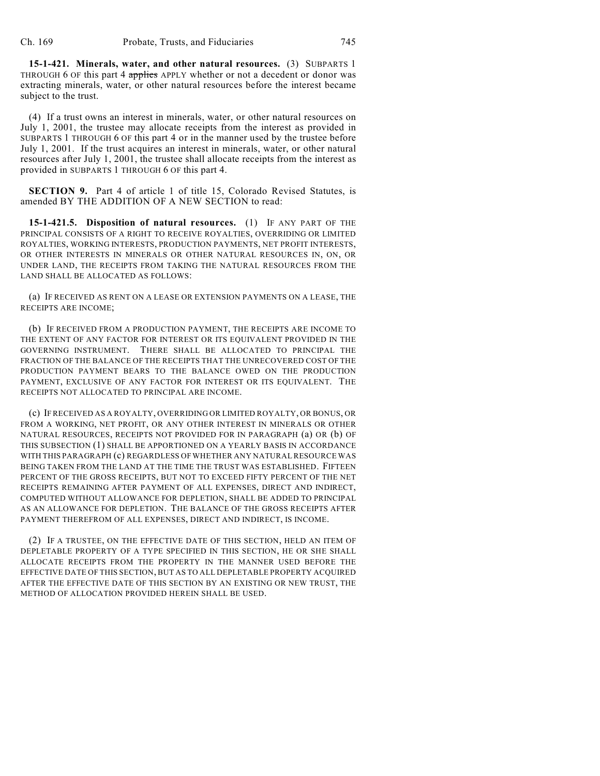**15-1-421. Minerals, water, and other natural resources.** (3) SUBPARTS 1 THROUGH 6 OF this part 4 applies APPLY whether or not a decedent or donor was extracting minerals, water, or other natural resources before the interest became subject to the trust.

(4) If a trust owns an interest in minerals, water, or other natural resources on July 1, 2001, the trustee may allocate receipts from the interest as provided in SUBPARTS 1 THROUGH 6 OF this part 4 or in the manner used by the trustee before July 1, 2001. If the trust acquires an interest in minerals, water, or other natural resources after July 1, 2001, the trustee shall allocate receipts from the interest as provided in SUBPARTS 1 THROUGH 6 OF this part 4.

**SECTION 9.** Part 4 of article 1 of title 15, Colorado Revised Statutes, is amended BY THE ADDITION OF A NEW SECTION to read:

**15-1-421.5. Disposition of natural resources.** (1) IF ANY PART OF THE PRINCIPAL CONSISTS OF A RIGHT TO RECEIVE ROYALTIES, OVERRIDING OR LIMITED ROYALTIES, WORKING INTERESTS, PRODUCTION PAYMENTS, NET PROFIT INTERESTS, OR OTHER INTERESTS IN MINERALS OR OTHER NATURAL RESOURCES IN, ON, OR UNDER LAND, THE RECEIPTS FROM TAKING THE NATURAL RESOURCES FROM THE LAND SHALL BE ALLOCATED AS FOLLOWS:

(a) IF RECEIVED AS RENT ON A LEASE OR EXTENSION PAYMENTS ON A LEASE, THE RECEIPTS ARE INCOME;

(b) IF RECEIVED FROM A PRODUCTION PAYMENT, THE RECEIPTS ARE INCOME TO THE EXTENT OF ANY FACTOR FOR INTEREST OR ITS EQUIVALENT PROVIDED IN THE GOVERNING INSTRUMENT. THERE SHALL BE ALLOCATED TO PRINCIPAL THE FRACTION OF THE BALANCE OF THE RECEIPTS THAT THE UNRECOVERED COST OF THE PRODUCTION PAYMENT BEARS TO THE BALANCE OWED ON THE PRODUCTION PAYMENT, EXCLUSIVE OF ANY FACTOR FOR INTEREST OR ITS EQUIVALENT. THE RECEIPTS NOT ALLOCATED TO PRINCIPAL ARE INCOME.

(c) IF RECEIVED AS A ROYALTY, OVERRIDING OR LIMITED ROYALTY, OR BONUS, OR FROM A WORKING, NET PROFIT, OR ANY OTHER INTEREST IN MINERALS OR OTHER NATURAL RESOURCES, RECEIPTS NOT PROVIDED FOR IN PARAGRAPH (a) OR (b) OF THIS SUBSECTION (1) SHALL BE APPORTIONED ON A YEARLY BASIS IN ACCORDANCE WITH THIS PARAGRAPH (c) REGARDLESS OF WHETHER ANY NATURAL RESOURCE WAS BEING TAKEN FROM THE LAND AT THE TIME THE TRUST WAS ESTABLISHED. FIFTEEN PERCENT OF THE GROSS RECEIPTS, BUT NOT TO EXCEED FIFTY PERCENT OF THE NET RECEIPTS REMAINING AFTER PAYMENT OF ALL EXPENSES, DIRECT AND INDIRECT, COMPUTED WITHOUT ALLOWANCE FOR DEPLETION, SHALL BE ADDED TO PRINCIPAL AS AN ALLOWANCE FOR DEPLETION. THE BALANCE OF THE GROSS RECEIPTS AFTER PAYMENT THEREFROM OF ALL EXPENSES, DIRECT AND INDIRECT, IS INCOME.

(2) IF A TRUSTEE, ON THE EFFECTIVE DATE OF THIS SECTION, HELD AN ITEM OF DEPLETABLE PROPERTY OF A TYPE SPECIFIED IN THIS SECTION, HE OR SHE SHALL ALLOCATE RECEIPTS FROM THE PROPERTY IN THE MANNER USED BEFORE THE EFFECTIVE DATE OF THIS SECTION, BUT AS TO ALL DEPLETABLE PROPERTY ACQUIRED AFTER THE EFFECTIVE DATE OF THIS SECTION BY AN EXISTING OR NEW TRUST, THE METHOD OF ALLOCATION PROVIDED HEREIN SHALL BE USED.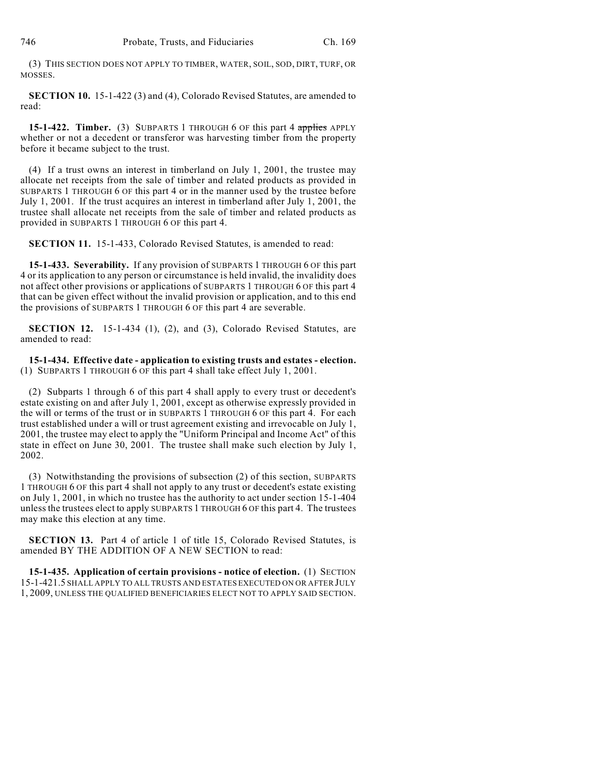(3) THIS SECTION DOES NOT APPLY TO TIMBER, WATER, SOIL, SOD, DIRT, TURF, OR MOSSES.

**SECTION 10.** 15-1-422 (3) and (4), Colorado Revised Statutes, are amended to read:

**15-1-422. Timber.** (3) SUBPARTS 1 THROUGH 6 OF this part 4 applies APPLY whether or not a decedent or transferor was harvesting timber from the property before it became subject to the trust.

(4) If a trust owns an interest in timberland on July 1, 2001, the trustee may allocate net receipts from the sale of timber and related products as provided in SUBPARTS 1 THROUGH 6 OF this part 4 or in the manner used by the trustee before July 1, 2001. If the trust acquires an interest in timberland after July 1, 2001, the trustee shall allocate net receipts from the sale of timber and related products as provided in SUBPARTS 1 THROUGH 6 OF this part 4.

**SECTION 11.** 15-1-433, Colorado Revised Statutes, is amended to read:

**15-1-433. Severability.** If any provision of SUBPARTS 1 THROUGH 6 OF this part 4 or its application to any person or circumstance is held invalid, the invalidity does not affect other provisions or applications of SUBPARTS 1 THROUGH 6 OF this part 4 that can be given effect without the invalid provision or application, and to this end the provisions of SUBPARTS 1 THROUGH 6 OF this part 4 are severable.

**SECTION 12.** 15-1-434 (1), (2), and (3), Colorado Revised Statutes, are amended to read:

**15-1-434. Effective date - application to existing trusts and estates - election.** (1) SUBPARTS 1 THROUGH 6 OF this part 4 shall take effect July 1, 2001.

(2) Subparts 1 through 6 of this part 4 shall apply to every trust or decedent's estate existing on and after July 1, 2001, except as otherwise expressly provided in the will or terms of the trust or in SUBPARTS 1 THROUGH 6 OF this part 4. For each trust established under a will or trust agreement existing and irrevocable on July 1, 2001, the trustee may elect to apply the "Uniform Principal and Income Act" of this state in effect on June 30, 2001. The trustee shall make such election by July 1, 2002.

(3) Notwithstanding the provisions of subsection (2) of this section, SUBPARTS 1 THROUGH 6 OF this part 4 shall not apply to any trust or decedent's estate existing on July 1, 2001, in which no trustee has the authority to act under section 15-1-404 unless the trustees elect to apply SUBPARTS 1 THROUGH 6 OF this part 4. The trustees may make this election at any time.

**SECTION 13.** Part 4 of article 1 of title 15, Colorado Revised Statutes, is amended BY THE ADDITION OF A NEW SECTION to read:

**15-1-435. Application of certain provisions - notice of election.** (1) SECTION 15-1-421.5 SHALL APPLY TO ALL TRUSTS AND ESTATES EXECUTED ON OR AFTER JULY 1, 2009, UNLESS THE QUALIFIED BENEFICIARIES ELECT NOT TO APPLY SAID SECTION.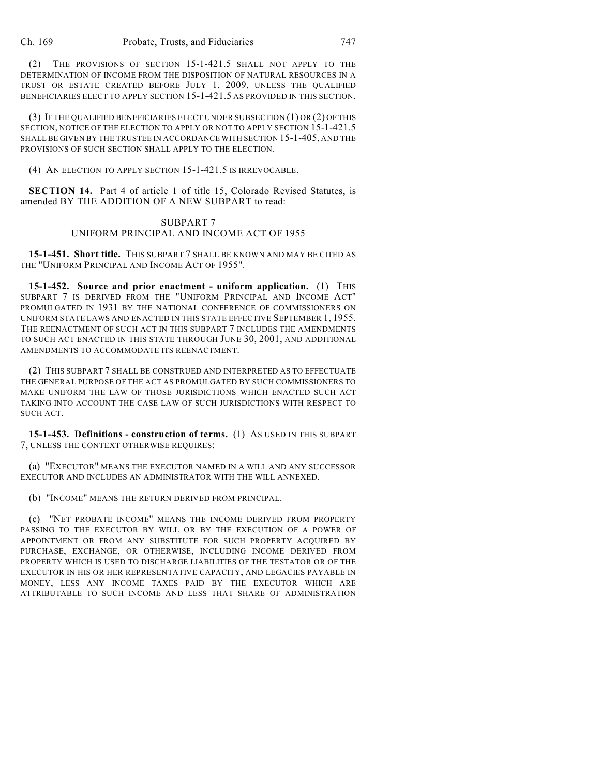(2) THE PROVISIONS OF SECTION 15-1-421.5 SHALL NOT APPLY TO THE DETERMINATION OF INCOME FROM THE DISPOSITION OF NATURAL RESOURCES IN A TRUST OR ESTATE CREATED BEFORE JULY 1, 2009, UNLESS THE QUALIFIED BENEFICIARIES ELECT TO APPLY SECTION 15-1-421.5 AS PROVIDED IN THIS SECTION.

(3) IF THE QUALIFIED BENEFICIARIES ELECT UNDER SUBSECTION (1) OR (2) OF THIS SECTION, NOTICE OF THE ELECTION TO APPLY OR NOT TO APPLY SECTION 15-1-421.5 SHALL BE GIVEN BY THE TRUSTEE IN ACCORDANCE WITH SECTION 15-1-405, AND THE PROVISIONS OF SUCH SECTION SHALL APPLY TO THE ELECTION.

(4) AN ELECTION TO APPLY SECTION 15-1-421.5 IS IRREVOCABLE.

**SECTION 14.** Part 4 of article 1 of title 15, Colorado Revised Statutes, is amended BY THE ADDITION OF A NEW SUBPART to read:

## SUBPART 7 UNIFORM PRINCIPAL AND INCOME ACT OF 1955

**15-1-451. Short title.** THIS SUBPART 7 SHALL BE KNOWN AND MAY BE CITED AS THE "UNIFORM PRINCIPAL AND INCOME ACT OF 1955".

**15-1-452. Source and prior enactment - uniform application.** (1) THIS SUBPART 7 IS DERIVED FROM THE "UNIFORM PRINCIPAL AND INCOME ACT" PROMULGATED IN 1931 BY THE NATIONAL CONFERENCE OF COMMISSIONERS ON UNIFORM STATE LAWS AND ENACTED IN THIS STATE EFFECTIVE SEPTEMBER 1, 1955. THE REENACTMENT OF SUCH ACT IN THIS SUBPART 7 INCLUDES THE AMENDMENTS TO SUCH ACT ENACTED IN THIS STATE THROUGH JUNE 30, 2001, AND ADDITIONAL AMENDMENTS TO ACCOMMODATE ITS REENACTMENT.

(2) THIS SUBPART 7 SHALL BE CONSTRUED AND INTERPRETED AS TO EFFECTUATE THE GENERAL PURPOSE OF THE ACT AS PROMULGATED BY SUCH COMMISSIONERS TO MAKE UNIFORM THE LAW OF THOSE JURISDICTIONS WHICH ENACTED SUCH ACT TAKING INTO ACCOUNT THE CASE LAW OF SUCH JURISDICTIONS WITH RESPECT TO SUCH ACT.

**15-1-453. Definitions - construction of terms.** (1) AS USED IN THIS SUBPART 7, UNLESS THE CONTEXT OTHERWISE REQUIRES:

(a) "EXECUTOR" MEANS THE EXECUTOR NAMED IN A WILL AND ANY SUCCESSOR EXECUTOR AND INCLUDES AN ADMINISTRATOR WITH THE WILL ANNEXED.

(b) "INCOME" MEANS THE RETURN DERIVED FROM PRINCIPAL.

(c) "NET PROBATE INCOME" MEANS THE INCOME DERIVED FROM PROPERTY PASSING TO THE EXECUTOR BY WILL OR BY THE EXECUTION OF A POWER OF APPOINTMENT OR FROM ANY SUBSTITUTE FOR SUCH PROPERTY ACQUIRED BY PURCHASE, EXCHANGE, OR OTHERWISE, INCLUDING INCOME DERIVED FROM PROPERTY WHICH IS USED TO DISCHARGE LIABILITIES OF THE TESTATOR OR OF THE EXECUTOR IN HIS OR HER REPRESENTATIVE CAPACITY, AND LEGACIES PAYABLE IN MONEY, LESS ANY INCOME TAXES PAID BY THE EXECUTOR WHICH ARE ATTRIBUTABLE TO SUCH INCOME AND LESS THAT SHARE OF ADMINISTRATION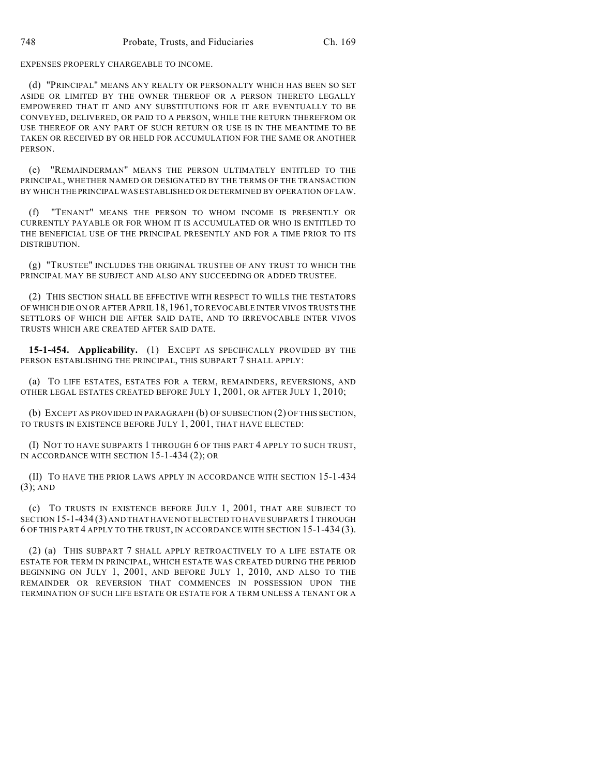EXPENSES PROPERLY CHARGEABLE TO INCOME.

(d) "PRINCIPAL" MEANS ANY REALTY OR PERSONALTY WHICH HAS BEEN SO SET ASIDE OR LIMITED BY THE OWNER THEREOF OR A PERSON THERETO LEGALLY EMPOWERED THAT IT AND ANY SUBSTITUTIONS FOR IT ARE EVENTUALLY TO BE CONVEYED, DELIVERED, OR PAID TO A PERSON, WHILE THE RETURN THEREFROM OR USE THEREOF OR ANY PART OF SUCH RETURN OR USE IS IN THE MEANTIME TO BE TAKEN OR RECEIVED BY OR HELD FOR ACCUMULATION FOR THE SAME OR ANOTHER PERSON.

(e) "REMAINDERMAN" MEANS THE PERSON ULTIMATELY ENTITLED TO THE PRINCIPAL, WHETHER NAMED OR DESIGNATED BY THE TERMS OF THE TRANSACTION BY WHICH THE PRINCIPAL WAS ESTABLISHED OR DETERMINED BY OPERATION OF LAW.

(f) "TENANT" MEANS THE PERSON TO WHOM INCOME IS PRESENTLY OR CURRENTLY PAYABLE OR FOR WHOM IT IS ACCUMULATED OR WHO IS ENTITLED TO THE BENEFICIAL USE OF THE PRINCIPAL PRESENTLY AND FOR A TIME PRIOR TO ITS DISTRIBUTION.

(g) "TRUSTEE" INCLUDES THE ORIGINAL TRUSTEE OF ANY TRUST TO WHICH THE PRINCIPAL MAY BE SUBJECT AND ALSO ANY SUCCEEDING OR ADDED TRUSTEE.

(2) THIS SECTION SHALL BE EFFECTIVE WITH RESPECT TO WILLS THE TESTATORS OF WHICH DIE ON OR AFTER APRIL 18, 1961, TO REVOCABLE INTER VIVOS TRUSTS THE SETTLORS OF WHICH DIE AFTER SAID DATE, AND TO IRREVOCABLE INTER VIVOS TRUSTS WHICH ARE CREATED AFTER SAID DATE.

**15-1-454. Applicability.** (1) EXCEPT AS SPECIFICALLY PROVIDED BY THE PERSON ESTABLISHING THE PRINCIPAL, THIS SUBPART 7 SHALL APPLY:

(a) TO LIFE ESTATES, ESTATES FOR A TERM, REMAINDERS, REVERSIONS, AND OTHER LEGAL ESTATES CREATED BEFORE JULY 1, 2001, OR AFTER JULY 1, 2010;

(b) EXCEPT AS PROVIDED IN PARAGRAPH (b) OF SUBSECTION (2) OF THIS SECTION, TO TRUSTS IN EXISTENCE BEFORE JULY 1, 2001, THAT HAVE ELECTED:

(I) NOT TO HAVE SUBPARTS 1 THROUGH 6 OF THIS PART 4 APPLY TO SUCH TRUST, IN ACCORDANCE WITH SECTION 15-1-434 (2); OR

(II) TO HAVE THE PRIOR LAWS APPLY IN ACCORDANCE WITH SECTION 15-1-434 (3); AND

(c) TO TRUSTS IN EXISTENCE BEFORE JULY 1, 2001, THAT ARE SUBJECT TO SECTION 15-1-434 (3) AND THAT HAVE NOT ELECTED TO HAVE SUBPARTS 1 THROUGH 6 OF THIS PART 4 APPLY TO THE TRUST, IN ACCORDANCE WITH SECTION 15-1-434 (3).

(2) (a) THIS SUBPART 7 SHALL APPLY RETROACTIVELY TO A LIFE ESTATE OR ESTATE FOR TERM IN PRINCIPAL, WHICH ESTATE WAS CREATED DURING THE PERIOD BEGINNING ON JULY 1, 2001, AND BEFORE JULY 1, 2010, AND ALSO TO THE REMAINDER OR REVERSION THAT COMMENCES IN POSSESSION UPON THE TERMINATION OF SUCH LIFE ESTATE OR ESTATE FOR A TERM UNLESS A TENANT OR A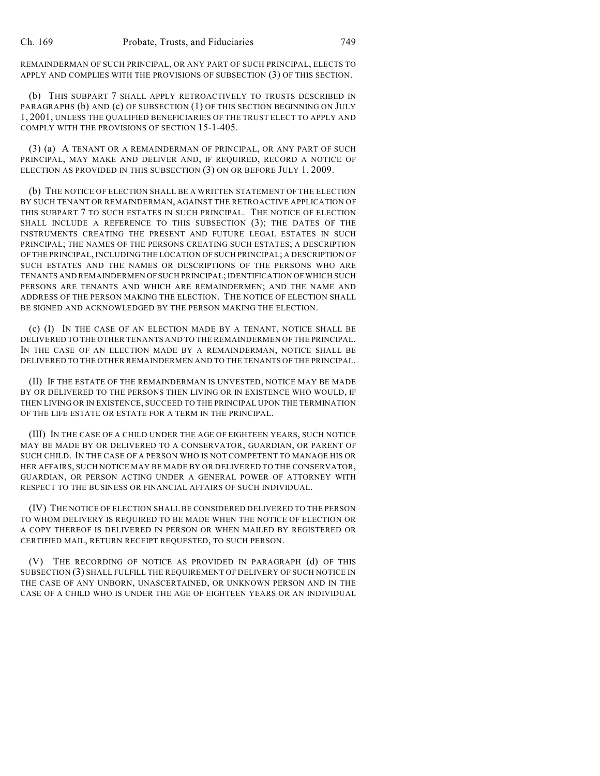REMAINDERMAN OF SUCH PRINCIPAL, OR ANY PART OF SUCH PRINCIPAL, ELECTS TO APPLY AND COMPLIES WITH THE PROVISIONS OF SUBSECTION (3) OF THIS SECTION.

(b) THIS SUBPART 7 SHALL APPLY RETROACTIVELY TO TRUSTS DESCRIBED IN PARAGRAPHS (b) AND (c) OF SUBSECTION (1) OF THIS SECTION BEGINNING ON JULY 1, 2001, UNLESS THE QUALIFIED BENEFICIARIES OF THE TRUST ELECT TO APPLY AND COMPLY WITH THE PROVISIONS OF SECTION 15-1-405.

(3) (a) A TENANT OR A REMAINDERMAN OF PRINCIPAL, OR ANY PART OF SUCH PRINCIPAL, MAY MAKE AND DELIVER AND, IF REQUIRED, RECORD A NOTICE OF ELECTION AS PROVIDED IN THIS SUBSECTION (3) ON OR BEFORE JULY 1, 2009.

(b) THE NOTICE OF ELECTION SHALL BE A WRITTEN STATEMENT OF THE ELECTION BY SUCH TENANT OR REMAINDERMAN, AGAINST THE RETROACTIVE APPLICATION OF THIS SUBPART 7 TO SUCH ESTATES IN SUCH PRINCIPAL. THE NOTICE OF ELECTION SHALL INCLUDE A REFERENCE TO THIS SUBSECTION (3); THE DATES OF THE INSTRUMENTS CREATING THE PRESENT AND FUTURE LEGAL ESTATES IN SUCH PRINCIPAL; THE NAMES OF THE PERSONS CREATING SUCH ESTATES; A DESCRIPTION OF THE PRINCIPAL, INCLUDING THE LOCATION OF SUCH PRINCIPAL; A DESCRIPTION OF SUCH ESTATES AND THE NAMES OR DESCRIPTIONS OF THE PERSONS WHO ARE TENANTS AND REMAINDERMEN OF SUCH PRINCIPAL; IDENTIFICATION OF WHICH SUCH PERSONS ARE TENANTS AND WHICH ARE REMAINDERMEN; AND THE NAME AND ADDRESS OF THE PERSON MAKING THE ELECTION. THE NOTICE OF ELECTION SHALL BE SIGNED AND ACKNOWLEDGED BY THE PERSON MAKING THE ELECTION.

(c) (I) IN THE CASE OF AN ELECTION MADE BY A TENANT, NOTICE SHALL BE DELIVERED TO THE OTHER TENANTS AND TO THE REMAINDERMEN OF THE PRINCIPAL. IN THE CASE OF AN ELECTION MADE BY A REMAINDERMAN, NOTICE SHALL BE DELIVERED TO THE OTHER REMAINDERMEN AND TO THE TENANTS OFTHE PRINCIPAL.

(II) IF THE ESTATE OF THE REMAINDERMAN IS UNVESTED, NOTICE MAY BE MADE BY OR DELIVERED TO THE PERSONS THEN LIVING OR IN EXISTENCE WHO WOULD, IF THEN LIVING OR IN EXISTENCE, SUCCEED TO THE PRINCIPAL UPON THE TERMINATION OF THE LIFE ESTATE OR ESTATE FOR A TERM IN THE PRINCIPAL.

(III) IN THE CASE OF A CHILD UNDER THE AGE OF EIGHTEEN YEARS, SUCH NOTICE MAY BE MADE BY OR DELIVERED TO A CONSERVATOR, GUARDIAN, OR PARENT OF SUCH CHILD. IN THE CASE OF A PERSON WHO IS NOT COMPETENT TO MANAGE HIS OR HER AFFAIRS, SUCH NOTICE MAY BE MADE BY OR DELIVERED TO THE CONSERVATOR, GUARDIAN, OR PERSON ACTING UNDER A GENERAL POWER OF ATTORNEY WITH RESPECT TO THE BUSINESS OR FINANCIAL AFFAIRS OF SUCH INDIVIDUAL.

(IV) THE NOTICE OF ELECTION SHALL BE CONSIDERED DELIVERED TO THE PERSON TO WHOM DELIVERY IS REQUIRED TO BE MADE WHEN THE NOTICE OF ELECTION OR A COPY THEREOF IS DELIVERED IN PERSON OR WHEN MAILED BY REGISTERED OR CERTIFIED MAIL, RETURN RECEIPT REQUESTED, TO SUCH PERSON.

(V) THE RECORDING OF NOTICE AS PROVIDED IN PARAGRAPH (d) OF THIS SUBSECTION (3) SHALL FULFILL THE REQUIREMENT OF DELIVERY OF SUCH NOTICE IN THE CASE OF ANY UNBORN, UNASCERTAINED, OR UNKNOWN PERSON AND IN THE CASE OF A CHILD WHO IS UNDER THE AGE OF EIGHTEEN YEARS OR AN INDIVIDUAL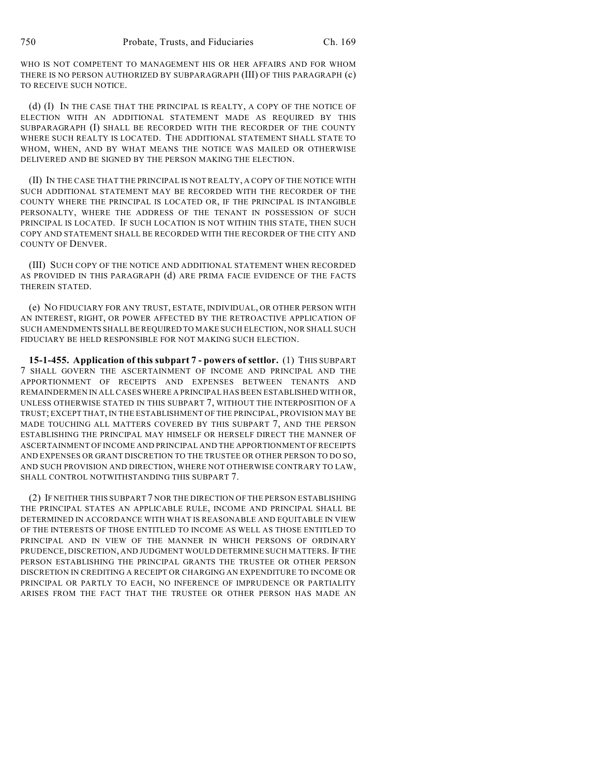WHO IS NOT COMPETENT TO MANAGEMENT HIS OR HER AFFAIRS AND FOR WHOM THERE IS NO PERSON AUTHORIZED BY SUBPARAGRAPH (III) OF THIS PARAGRAPH (c) TO RECEIVE SUCH NOTICE.

(d) (I) IN THE CASE THAT THE PRINCIPAL IS REALTY, A COPY OF THE NOTICE OF ELECTION WITH AN ADDITIONAL STATEMENT MADE AS REQUIRED BY THIS SUBPARAGRAPH (I) SHALL BE RECORDED WITH THE RECORDER OF THE COUNTY WHERE SUCH REALTY IS LOCATED. THE ADDITIONAL STATEMENT SHALL STATE TO WHOM, WHEN, AND BY WHAT MEANS THE NOTICE WAS MAILED OR OTHERWISE DELIVERED AND BE SIGNED BY THE PERSON MAKING THE ELECTION.

(II) IN THE CASE THAT THE PRINCIPAL IS NOT REALTY, A COPY OF THE NOTICE WITH SUCH ADDITIONAL STATEMENT MAY BE RECORDED WITH THE RECORDER OF THE COUNTY WHERE THE PRINCIPAL IS LOCATED OR, IF THE PRINCIPAL IS INTANGIBLE PERSONALTY, WHERE THE ADDRESS OF THE TENANT IN POSSESSION OF SUCH PRINCIPAL IS LOCATED. IF SUCH LOCATION IS NOT WITHIN THIS STATE, THEN SUCH COPY AND STATEMENT SHALL BE RECORDED WITH THE RECORDER OF THE CITY AND COUNTY OF DENVER.

(III) SUCH COPY OF THE NOTICE AND ADDITIONAL STATEMENT WHEN RECORDED AS PROVIDED IN THIS PARAGRAPH (d) ARE PRIMA FACIE EVIDENCE OF THE FACTS THEREIN STATED.

(e) NO FIDUCIARY FOR ANY TRUST, ESTATE, INDIVIDUAL, OR OTHER PERSON WITH AN INTEREST, RIGHT, OR POWER AFFECTED BY THE RETROACTIVE APPLICATION OF SUCH AMENDMENTS SHALL BE REQUIRED TO MAKE SUCH ELECTION, NOR SHALL SUCH FIDUCIARY BE HELD RESPONSIBLE FOR NOT MAKING SUCH ELECTION.

**15-1-455. Application of this subpart 7 - powers of settlor.** (1) THIS SUBPART 7 SHALL GOVERN THE ASCERTAINMENT OF INCOME AND PRINCIPAL AND THE APPORTIONMENT OF RECEIPTS AND EXPENSES BETWEEN TENANTS AND REMAINDERMEN IN ALL CASES WHERE A PRINCIPAL HAS BEEN ESTABLISHED WITH OR, UNLESS OTHERWISE STATED IN THIS SUBPART 7, WITHOUT THE INTERPOSITION OF A TRUST; EXCEPT THAT, IN THE ESTABLISHMENT OF THE PRINCIPAL, PROVISION MAY BE MADE TOUCHING ALL MATTERS COVERED BY THIS SUBPART 7, AND THE PERSON ESTABLISHING THE PRINCIPAL MAY HIMSELF OR HERSELF DIRECT THE MANNER OF ASCERTAINMENT OF INCOME AND PRINCIPAL AND THE APPORTIONMENT OF RECEIPTS AND EXPENSES OR GRANT DISCRETION TO THE TRUSTEE OR OTHER PERSON TO DO SO, AND SUCH PROVISION AND DIRECTION, WHERE NOT OTHERWISE CONTRARY TO LAW, SHALL CONTROL NOTWITHSTANDING THIS SUBPART 7.

(2) IF NEITHER THIS SUBPART 7 NOR THE DIRECTION OF THE PERSON ESTABLISHING THE PRINCIPAL STATES AN APPLICABLE RULE, INCOME AND PRINCIPAL SHALL BE DETERMINED IN ACCORDANCE WITH WHAT IS REASONABLE AND EQUITABLE IN VIEW OF THE INTERESTS OF THOSE ENTITLED TO INCOME AS WELL AS THOSE ENTITLED TO PRINCIPAL AND IN VIEW OF THE MANNER IN WHICH PERSONS OF ORDINARY PRUDENCE, DISCRETION, AND JUDGMENT WOULD DETERMINE SUCH MATTERS. IF THE PERSON ESTABLISHING THE PRINCIPAL GRANTS THE TRUSTEE OR OTHER PERSON DISCRETION IN CREDITING A RECEIPT OR CHARGING AN EXPENDITURE TO INCOME OR PRINCIPAL OR PARTLY TO EACH, NO INFERENCE OF IMPRUDENCE OR PARTIALITY ARISES FROM THE FACT THAT THE TRUSTEE OR OTHER PERSON HAS MADE AN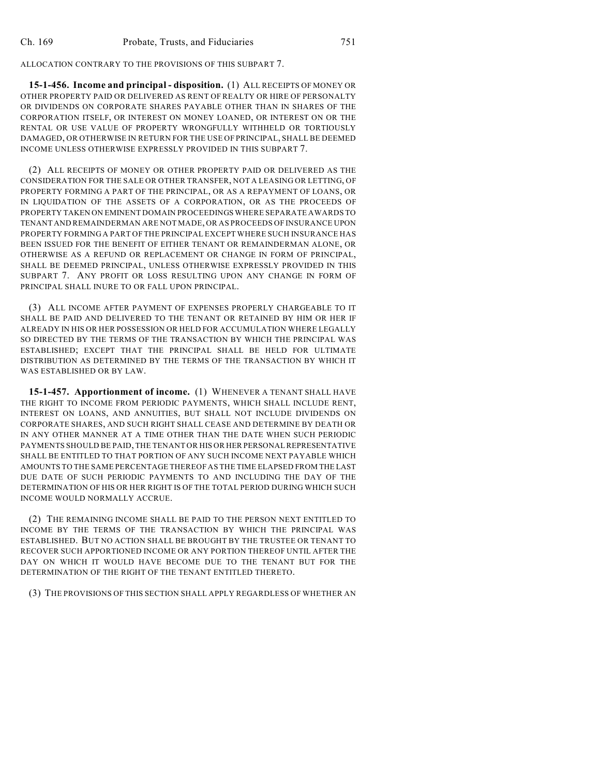ALLOCATION CONTRARY TO THE PROVISIONS OF THIS SUBPART 7.

**15-1-456. Income and principal - disposition.** (1) ALL RECEIPTS OF MONEY OR OTHER PROPERTY PAID OR DELIVERED AS RENT OF REALTY OR HIRE OF PERSONALTY OR DIVIDENDS ON CORPORATE SHARES PAYABLE OTHER THAN IN SHARES OF THE CORPORATION ITSELF, OR INTEREST ON MONEY LOANED, OR INTEREST ON OR THE RENTAL OR USE VALUE OF PROPERTY WRONGFULLY WITHHELD OR TORTIOUSLY DAMAGED, OR OTHERWISE IN RETURN FOR THE USE OF PRINCIPAL, SHALL BE DEEMED INCOME UNLESS OTHERWISE EXPRESSLY PROVIDED IN THIS SUBPART 7.

(2) ALL RECEIPTS OF MONEY OR OTHER PROPERTY PAID OR DELIVERED AS THE CONSIDERATION FOR THE SALE OR OTHER TRANSFER, NOT A LEASING OR LETTING, OF PROPERTY FORMING A PART OF THE PRINCIPAL, OR AS A REPAYMENT OF LOANS, OR IN LIQUIDATION OF THE ASSETS OF A CORPORATION, OR AS THE PROCEEDS OF PROPERTY TAKEN ON EMINENT DOMAIN PROCEEDINGS WHERE SEPARATE AWARDS TO TENANT AND REMAINDERMAN ARE NOT MADE, OR AS PROCEEDS OF INSURANCE UPON PROPERTY FORMING A PART OF THE PRINCIPAL EXCEPT WHERE SUCH INSURANCE HAS BEEN ISSUED FOR THE BENEFIT OF EITHER TENANT OR REMAINDERMAN ALONE, OR OTHERWISE AS A REFUND OR REPLACEMENT OR CHANGE IN FORM OF PRINCIPAL, SHALL BE DEEMED PRINCIPAL, UNLESS OTHERWISE EXPRESSLY PROVIDED IN THIS SUBPART 7. ANY PROFIT OR LOSS RESULTING UPON ANY CHANGE IN FORM OF PRINCIPAL SHALL INURE TO OR FALL UPON PRINCIPAL.

(3) ALL INCOME AFTER PAYMENT OF EXPENSES PROPERLY CHARGEABLE TO IT SHALL BE PAID AND DELIVERED TO THE TENANT OR RETAINED BY HIM OR HER IF ALREADY IN HIS OR HER POSSESSION OR HELD FOR ACCUMULATION WHERE LEGALLY SO DIRECTED BY THE TERMS OF THE TRANSACTION BY WHICH THE PRINCIPAL WAS ESTABLISHED; EXCEPT THAT THE PRINCIPAL SHALL BE HELD FOR ULTIMATE DISTRIBUTION AS DETERMINED BY THE TERMS OF THE TRANSACTION BY WHICH IT WAS ESTABLISHED OR BY LAW.

**15-1-457. Apportionment of income.** (1) WHENEVER A TENANT SHALL HAVE THE RIGHT TO INCOME FROM PERIODIC PAYMENTS, WHICH SHALL INCLUDE RENT, INTEREST ON LOANS, AND ANNUITIES, BUT SHALL NOT INCLUDE DIVIDENDS ON CORPORATE SHARES, AND SUCH RIGHT SHALL CEASE AND DETERMINE BY DEATH OR IN ANY OTHER MANNER AT A TIME OTHER THAN THE DATE WHEN SUCH PERIODIC PAYMENTS SHOULD BE PAID, THE TENANT OR HIS OR HER PERSONAL REPRESENTATIVE SHALL BE ENTITLED TO THAT PORTION OF ANY SUCH INCOME NEXT PAYABLE WHICH AMOUNTS TO THE SAME PERCENTAGE THEREOF AS THE TIME ELAPSED FROM THE LAST DUE DATE OF SUCH PERIODIC PAYMENTS TO AND INCLUDING THE DAY OF THE DETERMINATION OF HIS OR HER RIGHT IS OF THE TOTAL PERIOD DURING WHICH SUCH INCOME WOULD NORMALLY ACCRUE.

(2) THE REMAINING INCOME SHALL BE PAID TO THE PERSON NEXT ENTITLED TO INCOME BY THE TERMS OF THE TRANSACTION BY WHICH THE PRINCIPAL WAS ESTABLISHED. BUT NO ACTION SHALL BE BROUGHT BY THE TRUSTEE OR TENANT TO RECOVER SUCH APPORTIONED INCOME OR ANY PORTION THEREOF UNTIL AFTER THE DAY ON WHICH IT WOULD HAVE BECOME DUE TO THE TENANT BUT FOR THE DETERMINATION OF THE RIGHT OF THE TENANT ENTITLED THERETO.

(3) THE PROVISIONS OF THIS SECTION SHALL APPLY REGARDLESS OF WHETHER AN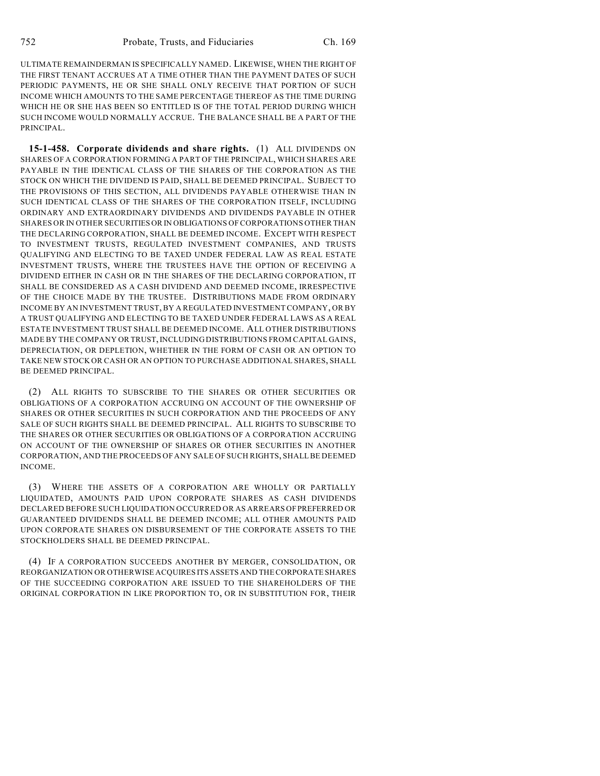ULTIMATE REMAINDERMAN IS SPECIFICALLY NAMED. LIKEWISE, WHEN THE RIGHT OF THE FIRST TENANT ACCRUES AT A TIME OTHER THAN THE PAYMENT DATES OF SUCH PERIODIC PAYMENTS, HE OR SHE SHALL ONLY RECEIVE THAT PORTION OF SUCH INCOME WHICH AMOUNTS TO THE SAME PERCENTAGE THEREOF AS THE TIME DURING WHICH HE OR SHE HAS BEEN SO ENTITLED IS OF THE TOTAL PERIOD DURING WHICH SUCH INCOME WOULD NORMALLY ACCRUE. THE BALANCE SHALL BE A PART OF THE PRINCIPAL.

**15-1-458. Corporate dividends and share rights.** (1) ALL DIVIDENDS ON SHARES OF A CORPORATION FORMING A PART OF THE PRINCIPAL, WHICH SHARES ARE PAYABLE IN THE IDENTICAL CLASS OF THE SHARES OF THE CORPORATION AS THE STOCK ON WHICH THE DIVIDEND IS PAID, SHALL BE DEEMED PRINCIPAL. SUBJECT TO THE PROVISIONS OF THIS SECTION, ALL DIVIDENDS PAYABLE OTHERWISE THAN IN SUCH IDENTICAL CLASS OF THE SHARES OF THE CORPORATION ITSELF, INCLUDING ORDINARY AND EXTRAORDINARY DIVIDENDS AND DIVIDENDS PAYABLE IN OTHER SHARES OR IN OTHER SECURITIES OR IN OBLIGATIONS OF CORPORATIONS OTHER THAN THE DECLARING CORPORATION, SHALL BE DEEMED INCOME. EXCEPT WITH RESPECT TO INVESTMENT TRUSTS, REGULATED INVESTMENT COMPANIES, AND TRUSTS QUALIFYING AND ELECTING TO BE TAXED UNDER FEDERAL LAW AS REAL ESTATE INVESTMENT TRUSTS, WHERE THE TRUSTEES HAVE THE OPTION OF RECEIVING A DIVIDEND EITHER IN CASH OR IN THE SHARES OF THE DECLARING CORPORATION, IT SHALL BE CONSIDERED AS A CASH DIVIDEND AND DEEMED INCOME, IRRESPECTIVE OF THE CHOICE MADE BY THE TRUSTEE. DISTRIBUTIONS MADE FROM ORDINARY INCOME BY AN INVESTMENT TRUST, BY A REGULATED INVESTMENT COMPANY, OR BY A TRUST QUALIFYING AND ELECTING TO BE TAXED UNDER FEDERAL LAWS AS A REAL ESTATE INVESTMENT TRUST SHALL BE DEEMED INCOME. ALL OTHER DISTRIBUTIONS MADE BY THE COMPANY OR TRUST, INCLUDING DISTRIBUTIONS FROM CAPITAL GAINS, DEPRECIATION, OR DEPLETION, WHETHER IN THE FORM OF CASH OR AN OPTION TO TAKE NEW STOCK OR CASH OR AN OPTION TO PURCHASE ADDITIONAL SHARES, SHALL BE DEEMED PRINCIPAL.

(2) ALL RIGHTS TO SUBSCRIBE TO THE SHARES OR OTHER SECURITIES OR OBLIGATIONS OF A CORPORATION ACCRUING ON ACCOUNT OF THE OWNERSHIP OF SHARES OR OTHER SECURITIES IN SUCH CORPORATION AND THE PROCEEDS OF ANY SALE OF SUCH RIGHTS SHALL BE DEEMED PRINCIPAL. ALL RIGHTS TO SUBSCRIBE TO THE SHARES OR OTHER SECURITIES OR OBLIGATIONS OF A CORPORATION ACCRUING ON ACCOUNT OF THE OWNERSHIP OF SHARES OR OTHER SECURITIES IN ANOTHER CORPORATION, AND THE PROCEEDS OF ANY SALE OF SUCH RIGHTS, SHALL BE DEEMED INCOME.

(3) WHERE THE ASSETS OF A CORPORATION ARE WHOLLY OR PARTIALLY LIQUIDATED, AMOUNTS PAID UPON CORPORATE SHARES AS CASH DIVIDENDS DECLARED BEFORE SUCH LIQUIDATION OCCURRED OR AS ARREARS OF PREFERRED OR GUARANTEED DIVIDENDS SHALL BE DEEMED INCOME; ALL OTHER AMOUNTS PAID UPON CORPORATE SHARES ON DISBURSEMENT OF THE CORPORATE ASSETS TO THE STOCKHOLDERS SHALL BE DEEMED PRINCIPAL.

(4) IF A CORPORATION SUCCEEDS ANOTHER BY MERGER, CONSOLIDATION, OR REORGANIZATION OR OTHERWISE ACQUIRES ITS ASSETS AND THE CORPORATE SHARES OF THE SUCCEEDING CORPORATION ARE ISSUED TO THE SHAREHOLDERS OF THE ORIGINAL CORPORATION IN LIKE PROPORTION TO, OR IN SUBSTITUTION FOR, THEIR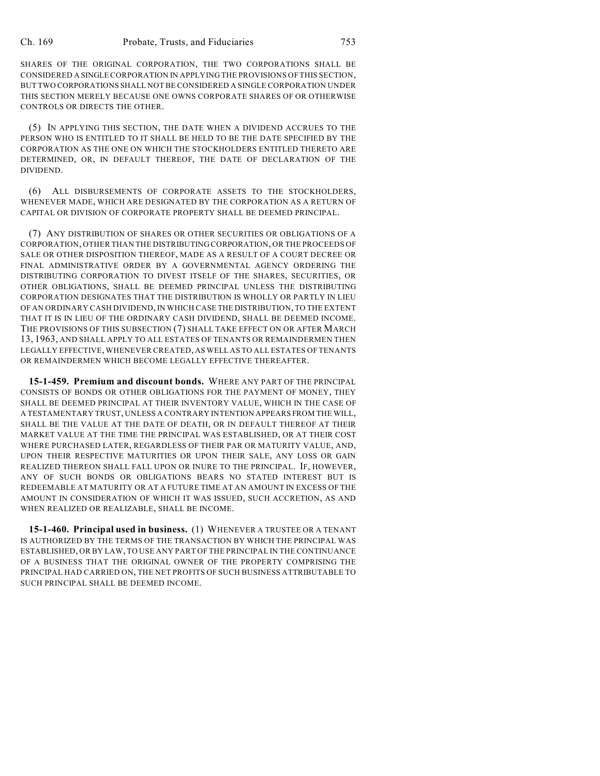SHARES OF THE ORIGINAL CORPORATION, THE TWO CORPORATIONS SHALL BE CONSIDERED A SINGLE CORPORATION IN APPLYING THE PROVISIONS OF THIS SECTION, BUT TWO CORPORATIONS SHALL NOT BE CONSIDERED A SINGLE CORPORATION UNDER THIS SECTION MERELY BECAUSE ONE OWNS CORPORATE SHARES OF OR OTHERWISE CONTROLS OR DIRECTS THE OTHER.

(5) IN APPLYING THIS SECTION, THE DATE WHEN A DIVIDEND ACCRUES TO THE PERSON WHO IS ENTITLED TO IT SHALL BE HELD TO BE THE DATE SPECIFIED BY THE CORPORATION AS THE ONE ON WHICH THE STOCKHOLDERS ENTITLED THERETO ARE DETERMINED, OR, IN DEFAULT THEREOF, THE DATE OF DECLARATION OF THE DIVIDEND.

(6) ALL DISBURSEMENTS OF CORPORATE ASSETS TO THE STOCKHOLDERS, WHENEVER MADE, WHICH ARE DESIGNATED BY THE CORPORATION AS A RETURN OF CAPITAL OR DIVISION OF CORPORATE PROPERTY SHALL BE DEEMED PRINCIPAL.

(7) ANY DISTRIBUTION OF SHARES OR OTHER SECURITIES OR OBLIGATIONS OF A CORPORATION, OTHER THAN THE DISTRIBUTING CORPORATION, OR THE PROCEEDS OF SALE OR OTHER DISPOSITION THEREOF, MADE AS A RESULT OF A COURT DECREE OR FINAL ADMINISTRATIVE ORDER BY A GOVERNMENTAL AGENCY ORDERING THE DISTRIBUTING CORPORATION TO DIVEST ITSELF OF THE SHARES, SECURITIES, OR OTHER OBLIGATIONS, SHALL BE DEEMED PRINCIPAL UNLESS THE DISTRIBUTING CORPORATION DESIGNATES THAT THE DISTRIBUTION IS WHOLLY OR PARTLY IN LIEU OF AN ORDINARY CASH DIVIDEND, IN WHICH CASE THE DISTRIBUTION, TO THE EXTENT THAT IT IS IN LIEU OF THE ORDINARY CASH DIVIDEND, SHALL BE DEEMED INCOME. THE PROVISIONS OF THIS SUBSECTION (7) SHALL TAKE EFFECT ON OR AFTER MARCH 13, 1963, AND SHALL APPLY TO ALL ESTATES OF TENANTS OR REMAINDERMEN THEN LEGALLY EFFECTIVE, WHENEVER CREATED, AS WELL AS TO ALL ESTATES OF TENANTS OR REMAINDERMEN WHICH BECOME LEGALLY EFFECTIVE THEREAFTER.

**15-1-459. Premium and discount bonds.** WHERE ANY PART OF THE PRINCIPAL CONSISTS OF BONDS OR OTHER OBLIGATIONS FOR THE PAYMENT OF MONEY, THEY SHALL BE DEEMED PRINCIPAL AT THEIR INVENTORY VALUE, WHICH IN THE CASE OF A TESTAMENTARY TRUST, UNLESS A CONTRARY INTENTION APPEARS FROM THE WILL, SHALL BE THE VALUE AT THE DATE OF DEATH, OR IN DEFAULT THEREOF AT THEIR MARKET VALUE AT THE TIME THE PRINCIPAL WAS ESTABLISHED, OR AT THEIR COST WHERE PURCHASED LATER, REGARDLESS OF THEIR PAR OR MATURITY VALUE, AND, UPON THEIR RESPECTIVE MATURITIES OR UPON THEIR SALE, ANY LOSS OR GAIN REALIZED THEREON SHALL FALL UPON OR INURE TO THE PRINCIPAL. IF, HOWEVER, ANY OF SUCH BONDS OR OBLIGATIONS BEARS NO STATED INTEREST BUT IS REDEEMABLE AT MATURITY OR AT A FUTURE TIME AT AN AMOUNT IN EXCESS OF THE AMOUNT IN CONSIDERATION OF WHICH IT WAS ISSUED, SUCH ACCRETION, AS AND WHEN REALIZED OR REALIZABLE, SHALL BE INCOME.

**15-1-460. Principal used in business.** (1) WHENEVER A TRUSTEE OR A TENANT IS AUTHORIZED BY THE TERMS OF THE TRANSACTION BY WHICH THE PRINCIPAL WAS ESTABLISHED, OR BY LAW, TO USE ANY PART OF THE PRINCIPAL IN THE CONTINUANCE OF A BUSINESS THAT THE ORIGINAL OWNER OF THE PROPERTY COMPRISING THE PRINCIPAL HAD CARRIED ON, THE NET PROFITS OF SUCH BUSINESS ATTRIBUTABLE TO SUCH PRINCIPAL SHALL BE DEEMED INCOME.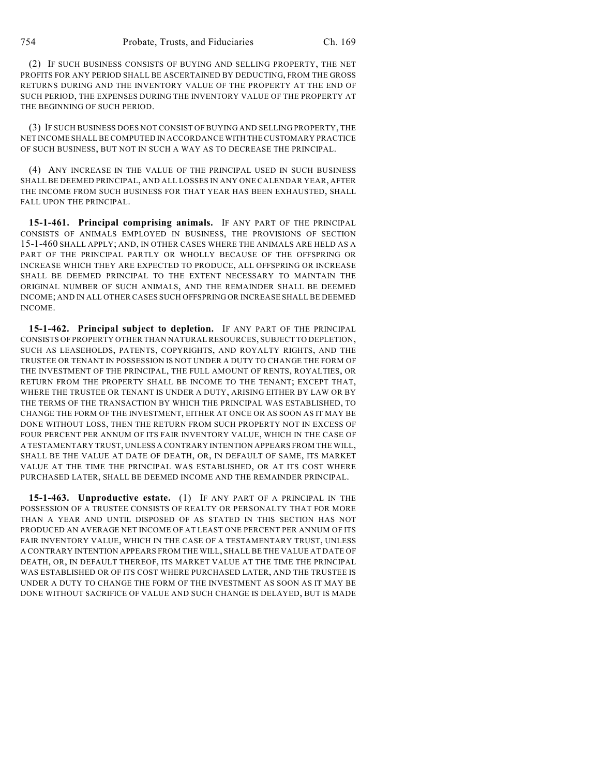(2) IF SUCH BUSINESS CONSISTS OF BUYING AND SELLING PROPERTY, THE NET PROFITS FOR ANY PERIOD SHALL BE ASCERTAINED BY DEDUCTING, FROM THE GROSS RETURNS DURING AND THE INVENTORY VALUE OF THE PROPERTY AT THE END OF SUCH PERIOD, THE EXPENSES DURING THE INVENTORY VALUE OF THE PROPERTY AT THE BEGINNING OF SUCH PERIOD.

(3) IF SUCH BUSINESS DOES NOT CONSIST OF BUYING AND SELLING PROPERTY, THE NET INCOME SHALL BE COMPUTED IN ACCORDANCE WITH THE CUSTOMARY PRACTICE OF SUCH BUSINESS, BUT NOT IN SUCH A WAY AS TO DECREASE THE PRINCIPAL.

(4) ANY INCREASE IN THE VALUE OF THE PRINCIPAL USED IN SUCH BUSINESS SHALL BE DEEMED PRINCIPAL, AND ALL LOSSES IN ANY ONE CALENDAR YEAR, AFTER THE INCOME FROM SUCH BUSINESS FOR THAT YEAR HAS BEEN EXHAUSTED, SHALL FALL UPON THE PRINCIPAL.

**15-1-461. Principal comprising animals.** IF ANY PART OF THE PRINCIPAL CONSISTS OF ANIMALS EMPLOYED IN BUSINESS, THE PROVISIONS OF SECTION 15-1-460 SHALL APPLY; AND, IN OTHER CASES WHERE THE ANIMALS ARE HELD AS A PART OF THE PRINCIPAL PARTLY OR WHOLLY BECAUSE OF THE OFFSPRING OR INCREASE WHICH THEY ARE EXPECTED TO PRODUCE, ALL OFFSPRING OR INCREASE SHALL BE DEEMED PRINCIPAL TO THE EXTENT NECESSARY TO MAINTAIN THE ORIGINAL NUMBER OF SUCH ANIMALS, AND THE REMAINDER SHALL BE DEEMED INCOME; AND IN ALL OTHER CASES SUCH OFFSPRING OR INCREASE SHALL BE DEEMED INCOME.

**15-1-462. Principal subject to depletion.** IF ANY PART OF THE PRINCIPAL CONSISTS OF PROPERTY OTHER THAN NATURAL RESOURCES, SUBJECT TO DEPLETION, SUCH AS LEASEHOLDS, PATENTS, COPYRIGHTS, AND ROYALTY RIGHTS, AND THE TRUSTEE OR TENANT IN POSSESSION IS NOT UNDER A DUTY TO CHANGE THE FORM OF THE INVESTMENT OF THE PRINCIPAL, THE FULL AMOUNT OF RENTS, ROYALTIES, OR RETURN FROM THE PROPERTY SHALL BE INCOME TO THE TENANT; EXCEPT THAT, WHERE THE TRUSTEE OR TENANT IS UNDER A DUTY, ARISING EITHER BY LAW OR BY THE TERMS OF THE TRANSACTION BY WHICH THE PRINCIPAL WAS ESTABLISHED, TO CHANGE THE FORM OF THE INVESTMENT, EITHER AT ONCE OR AS SOON AS IT MAY BE DONE WITHOUT LOSS, THEN THE RETURN FROM SUCH PROPERTY NOT IN EXCESS OF FOUR PERCENT PER ANNUM OF ITS FAIR INVENTORY VALUE, WHICH IN THE CASE OF A TESTAMENTARY TRUST, UNLESS A CONTRARY INTENTION APPEARS FROM THE WILL, SHALL BE THE VALUE AT DATE OF DEATH, OR, IN DEFAULT OF SAME, ITS MARKET VALUE AT THE TIME THE PRINCIPAL WAS ESTABLISHED, OR AT ITS COST WHERE PURCHASED LATER, SHALL BE DEEMED INCOME AND THE REMAINDER PRINCIPAL.

**15-1-463. Unproductive estate.** (1) IF ANY PART OF A PRINCIPAL IN THE POSSESSION OF A TRUSTEE CONSISTS OF REALTY OR PERSONALTY THAT FOR MORE THAN A YEAR AND UNTIL DISPOSED OF AS STATED IN THIS SECTION HAS NOT PRODUCED AN AVERAGE NET INCOME OF AT LEAST ONE PERCENT PER ANNUM OF ITS FAIR INVENTORY VALUE, WHICH IN THE CASE OF A TESTAMENTARY TRUST, UNLESS A CONTRARY INTENTION APPEARS FROM THE WILL, SHALL BE THE VALUE AT DATE OF DEATH, OR, IN DEFAULT THEREOF, ITS MARKET VALUE AT THE TIME THE PRINCIPAL WAS ESTABLISHED OR OF ITS COST WHERE PURCHASED LATER, AND THE TRUSTEE IS UNDER A DUTY TO CHANGE THE FORM OF THE INVESTMENT AS SOON AS IT MAY BE DONE WITHOUT SACRIFICE OF VALUE AND SUCH CHANGE IS DELAYED, BUT IS MADE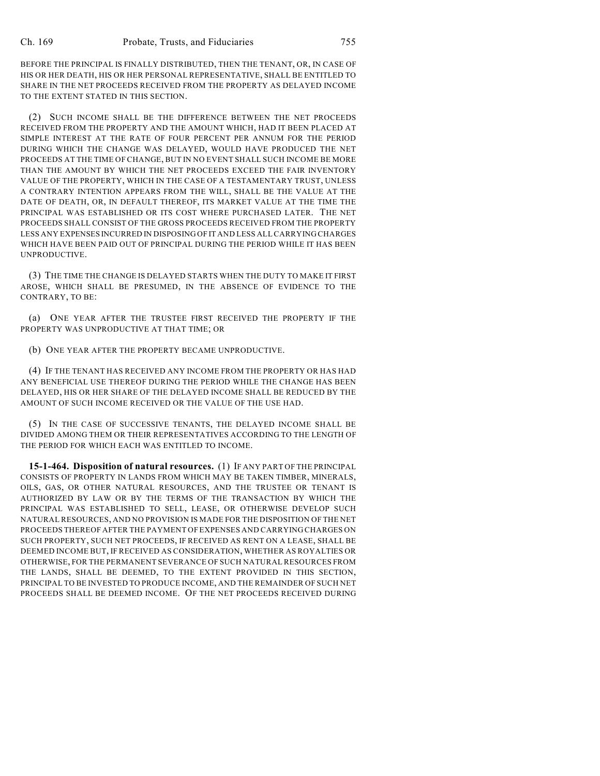BEFORE THE PRINCIPAL IS FINALLY DISTRIBUTED, THEN THE TENANT, OR, IN CASE OF HIS OR HER DEATH, HIS OR HER PERSONAL REPRESENTATIVE, SHALL BE ENTITLED TO SHARE IN THE NET PROCEEDS RECEIVED FROM THE PROPERTY AS DELAYED INCOME TO THE EXTENT STATED IN THIS SECTION.

(2) SUCH INCOME SHALL BE THE DIFFERENCE BETWEEN THE NET PROCEEDS RECEIVED FROM THE PROPERTY AND THE AMOUNT WHICH, HAD IT BEEN PLACED AT SIMPLE INTEREST AT THE RATE OF FOUR PERCENT PER ANNUM FOR THE PERIOD DURING WHICH THE CHANGE WAS DELAYED, WOULD HAVE PRODUCED THE NET PROCEEDS AT THE TIME OF CHANGE, BUT IN NO EVENT SHALL SUCH INCOME BE MORE THAN THE AMOUNT BY WHICH THE NET PROCEEDS EXCEED THE FAIR INVENTORY VALUE OF THE PROPERTY, WHICH IN THE CASE OF A TESTAMENTARY TRUST, UNLESS A CONTRARY INTENTION APPEARS FROM THE WILL, SHALL BE THE VALUE AT THE DATE OF DEATH, OR, IN DEFAULT THEREOF, ITS MARKET VALUE AT THE TIME THE PRINCIPAL WAS ESTABLISHED OR ITS COST WHERE PURCHASED LATER. THE NET PROCEEDS SHALL CONSIST OF THE GROSS PROCEEDS RECEIVED FROM THE PROPERTY LESS ANY EXPENSES INCURRED IN DISPOSING OF IT AND LESS ALL CARRYING CHARGES WHICH HAVE BEEN PAID OUT OF PRINCIPAL DURING THE PERIOD WHILE IT HAS BEEN UNPRODUCTIVE.

(3) THE TIME THE CHANGE IS DELAYED STARTS WHEN THE DUTY TO MAKE IT FIRST AROSE, WHICH SHALL BE PRESUMED, IN THE ABSENCE OF EVIDENCE TO THE CONTRARY, TO BE:

(a) ONE YEAR AFTER THE TRUSTEE FIRST RECEIVED THE PROPERTY IF THE PROPERTY WAS UNPRODUCTIVE AT THAT TIME; OR

(b) ONE YEAR AFTER THE PROPERTY BECAME UNPRODUCTIVE.

(4) IF THE TENANT HAS RECEIVED ANY INCOME FROM THE PROPERTY OR HAS HAD ANY BENEFICIAL USE THEREOF DURING THE PERIOD WHILE THE CHANGE HAS BEEN DELAYED, HIS OR HER SHARE OF THE DELAYED INCOME SHALL BE REDUCED BY THE AMOUNT OF SUCH INCOME RECEIVED OR THE VALUE OF THE USE HAD.

(5) IN THE CASE OF SUCCESSIVE TENANTS, THE DELAYED INCOME SHALL BE DIVIDED AMONG THEM OR THEIR REPRESENTATIVES ACCORDING TO THE LENGTH OF THE PERIOD FOR WHICH EACH WAS ENTITLED TO INCOME.

**15-1-464. Disposition of natural resources.** (1) IF ANY PART OF THE PRINCIPAL CONSISTS OF PROPERTY IN LANDS FROM WHICH MAY BE TAKEN TIMBER, MINERALS, OILS, GAS, OR OTHER NATURAL RESOURCES, AND THE TRUSTEE OR TENANT IS AUTHORIZED BY LAW OR BY THE TERMS OF THE TRANSACTION BY WHICH THE PRINCIPAL WAS ESTABLISHED TO SELL, LEASE, OR OTHERWISE DEVELOP SUCH NATURAL RESOURCES, AND NO PROVISION IS MADE FOR THE DISPOSITION OF THE NET PROCEEDS THEREOF AFTER THE PAYMENT OFEXPENSES AND CARRYING CHARGES ON SUCH PROPERTY, SUCH NET PROCEEDS, IF RECEIVED AS RENT ON A LEASE, SHALL BE DEEMED INCOME BUT, IF RECEIVED AS CONSIDERATION, WHETHER AS ROYALTIES OR OTHERWISE, FOR THE PERMANENT SEVERANCE OF SUCH NATURAL RESOURCES FROM THE LANDS, SHALL BE DEEMED, TO THE EXTENT PROVIDED IN THIS SECTION, PRINCIPAL TO BE INVESTED TO PRODUCE INCOME, AND THE REMAINDER OF SUCH NET PROCEEDS SHALL BE DEEMED INCOME. OF THE NET PROCEEDS RECEIVED DURING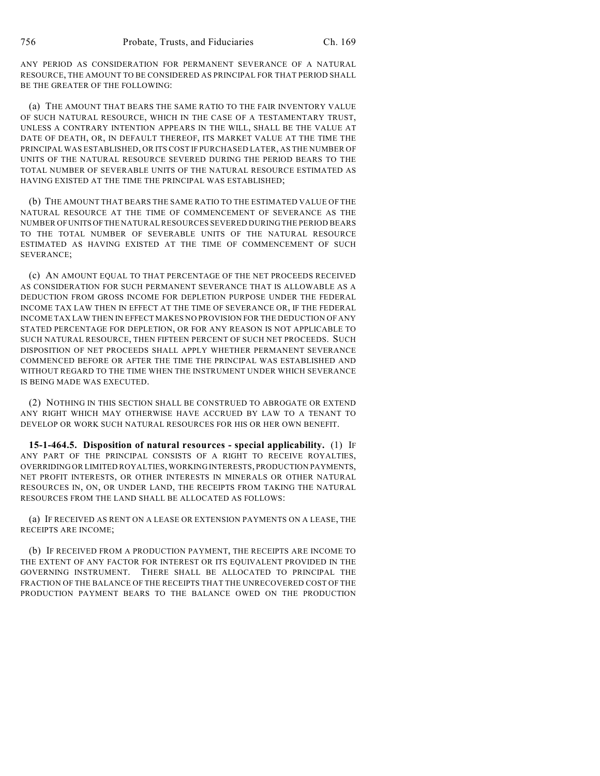ANY PERIOD AS CONSIDERATION FOR PERMANENT SEVERANCE OF A NATURAL RESOURCE, THE AMOUNT TO BE CONSIDERED AS PRINCIPAL FOR THAT PERIOD SHALL BE THE GREATER OF THE FOLLOWING:

(a) THE AMOUNT THAT BEARS THE SAME RATIO TO THE FAIR INVENTORY VALUE OF SUCH NATURAL RESOURCE, WHICH IN THE CASE OF A TESTAMENTARY TRUST, UNLESS A CONTRARY INTENTION APPEARS IN THE WILL, SHALL BE THE VALUE AT DATE OF DEATH, OR, IN DEFAULT THEREOF, ITS MARKET VALUE AT THE TIME THE PRINCIPAL WAS ESTABLISHED, OR ITS COST IF PURCHASED LATER, AS THE NUMBER OF UNITS OF THE NATURAL RESOURCE SEVERED DURING THE PERIOD BEARS TO THE TOTAL NUMBER OF SEVERABLE UNITS OF THE NATURAL RESOURCE ESTIMATED AS HAVING EXISTED AT THE TIME THE PRINCIPAL WAS ESTABLISHED;

(b) THE AMOUNT THAT BEARS THE SAME RATIO TO THE ESTIMATED VALUE OF THE NATURAL RESOURCE AT THE TIME OF COMMENCEMENT OF SEVERANCE AS THE NUMBER OF UNITS OF THE NATURAL RESOURCES SEVERED DURING THE PERIOD BEARS TO THE TOTAL NUMBER OF SEVERABLE UNITS OF THE NATURAL RESOURCE ESTIMATED AS HAVING EXISTED AT THE TIME OF COMMENCEMENT OF SUCH SEVERANCE;

(c) AN AMOUNT EQUAL TO THAT PERCENTAGE OF THE NET PROCEEDS RECEIVED AS CONSIDERATION FOR SUCH PERMANENT SEVERANCE THAT IS ALLOWABLE AS A DEDUCTION FROM GROSS INCOME FOR DEPLETION PURPOSE UNDER THE FEDERAL INCOME TAX LAW THEN IN EFFECT AT THE TIME OF SEVERANCE OR, IF THE FEDERAL INCOME TAX LAW THEN IN EFFECT MAKES NO PROVISION FOR THE DEDUCTION OF ANY STATED PERCENTAGE FOR DEPLETION, OR FOR ANY REASON IS NOT APPLICABLE TO SUCH NATURAL RESOURCE, THEN FIFTEEN PERCENT OF SUCH NET PROCEEDS. SUCH DISPOSITION OF NET PROCEEDS SHALL APPLY WHETHER PERMANENT SEVERANCE COMMENCED BEFORE OR AFTER THE TIME THE PRINCIPAL WAS ESTABLISHED AND WITHOUT REGARD TO THE TIME WHEN THE INSTRUMENT UNDER WHICH SEVERANCE IS BEING MADE WAS EXECUTED.

(2) NOTHING IN THIS SECTION SHALL BE CONSTRUED TO ABROGATE OR EXTEND ANY RIGHT WHICH MAY OTHERWISE HAVE ACCRUED BY LAW TO A TENANT TO DEVELOP OR WORK SUCH NATURAL RESOURCES FOR HIS OR HER OWN BENEFIT.

**15-1-464.5. Disposition of natural resources - special applicability.** (1) IF ANY PART OF THE PRINCIPAL CONSISTS OF A RIGHT TO RECEIVE ROYALTIES, OVERRIDING OR LIMITED ROYALTIES, WORKING INTERESTS, PRODUCTION PAYMENTS, NET PROFIT INTERESTS, OR OTHER INTERESTS IN MINERALS OR OTHER NATURAL RESOURCES IN, ON, OR UNDER LAND, THE RECEIPTS FROM TAKING THE NATURAL RESOURCES FROM THE LAND SHALL BE ALLOCATED AS FOLLOWS:

(a) IF RECEIVED AS RENT ON A LEASE OR EXTENSION PAYMENTS ON A LEASE, THE RECEIPTS ARE INCOME;

(b) IF RECEIVED FROM A PRODUCTION PAYMENT, THE RECEIPTS ARE INCOME TO THE EXTENT OF ANY FACTOR FOR INTEREST OR ITS EQUIVALENT PROVIDED IN THE GOVERNING INSTRUMENT. THERE SHALL BE ALLOCATED TO PRINCIPAL THE FRACTION OF THE BALANCE OF THE RECEIPTS THAT THE UNRECOVERED COST OF THE PRODUCTION PAYMENT BEARS TO THE BALANCE OWED ON THE PRODUCTION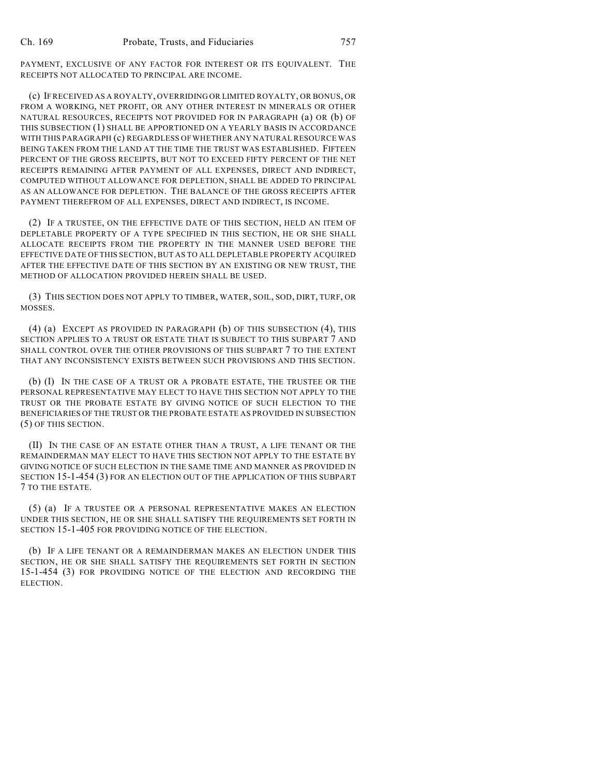PAYMENT, EXCLUSIVE OF ANY FACTOR FOR INTEREST OR ITS EQUIVALENT. THE RECEIPTS NOT ALLOCATED TO PRINCIPAL ARE INCOME.

(c) IFRECEIVED AS A ROYALTY, OVERRIDING OR LIMITED ROYALTY, OR BONUS, OR FROM A WORKING, NET PROFIT, OR ANY OTHER INTEREST IN MINERALS OR OTHER NATURAL RESOURCES, RECEIPTS NOT PROVIDED FOR IN PARAGRAPH (a) OR (b) OF THIS SUBSECTION (1) SHALL BE APPORTIONED ON A YEARLY BASIS IN ACCORDANCE WITH THIS PARAGRAPH (c) REGARDLESS OF WHETHER ANY NATURAL RESOURCE WAS BEING TAKEN FROM THE LAND AT THE TIME THE TRUST WAS ESTABLISHED. FIFTEEN PERCENT OF THE GROSS RECEIPTS, BUT NOT TO EXCEED FIFTY PERCENT OF THE NET RECEIPTS REMAINING AFTER PAYMENT OF ALL EXPENSES, DIRECT AND INDIRECT, COMPUTED WITHOUT ALLOWANCE FOR DEPLETION, SHALL BE ADDED TO PRINCIPAL AS AN ALLOWANCE FOR DEPLETION. THE BALANCE OF THE GROSS RECEIPTS AFTER PAYMENT THEREFROM OF ALL EXPENSES, DIRECT AND INDIRECT, IS INCOME.

(2) IF A TRUSTEE, ON THE EFFECTIVE DATE OF THIS SECTION, HELD AN ITEM OF DEPLETABLE PROPERTY OF A TYPE SPECIFIED IN THIS SECTION, HE OR SHE SHALL ALLOCATE RECEIPTS FROM THE PROPERTY IN THE MANNER USED BEFORE THE EFFECTIVE DATE OF THIS SECTION, BUT AS TO ALL DEPLETABLE PROPERTY ACQUIRED AFTER THE EFFECTIVE DATE OF THIS SECTION BY AN EXISTING OR NEW TRUST, THE METHOD OF ALLOCATION PROVIDED HEREIN SHALL BE USED.

(3) THIS SECTION DOES NOT APPLY TO TIMBER, WATER, SOIL, SOD, DIRT, TURF, OR MOSSES.

(4) (a) EXCEPT AS PROVIDED IN PARAGRAPH (b) OF THIS SUBSECTION (4), THIS SECTION APPLIES TO A TRUST OR ESTATE THAT IS SUBJECT TO THIS SUBPART 7 AND SHALL CONTROL OVER THE OTHER PROVISIONS OF THIS SUBPART 7 TO THE EXTENT THAT ANY INCONSISTENCY EXISTS BETWEEN SUCH PROVISIONS AND THIS SECTION.

(b) (I) IN THE CASE OF A TRUST OR A PROBATE ESTATE, THE TRUSTEE OR THE PERSONAL REPRESENTATIVE MAY ELECT TO HAVE THIS SECTION NOT APPLY TO THE TRUST OR THE PROBATE ESTATE BY GIVING NOTICE OF SUCH ELECTION TO THE BENEFICIARIES OF THE TRUST OR THE PROBATE ESTATE AS PROVIDED IN SUBSECTION (5) OF THIS SECTION.

(II) IN THE CASE OF AN ESTATE OTHER THAN A TRUST, A LIFE TENANT OR THE REMAINDERMAN MAY ELECT TO HAVE THIS SECTION NOT APPLY TO THE ESTATE BY GIVING NOTICE OF SUCH ELECTION IN THE SAME TIME AND MANNER AS PROVIDED IN SECTION 15-1-454 (3) FOR AN ELECTION OUT OF THE APPLICATION OF THIS SUBPART 7 TO THE ESTATE.

(5) (a) IF A TRUSTEE OR A PERSONAL REPRESENTATIVE MAKES AN ELECTION UNDER THIS SECTION, HE OR SHE SHALL SATISFY THE REQUIREMENTS SET FORTH IN SECTION 15-1-405 FOR PROVIDING NOTICE OF THE ELECTION.

(b) IF A LIFE TENANT OR A REMAINDERMAN MAKES AN ELECTION UNDER THIS SECTION, HE OR SHE SHALL SATISFY THE REQUIREMENTS SET FORTH IN SECTION 15-1-454 (3) FOR PROVIDING NOTICE OF THE ELECTION AND RECORDING THE ELECTION.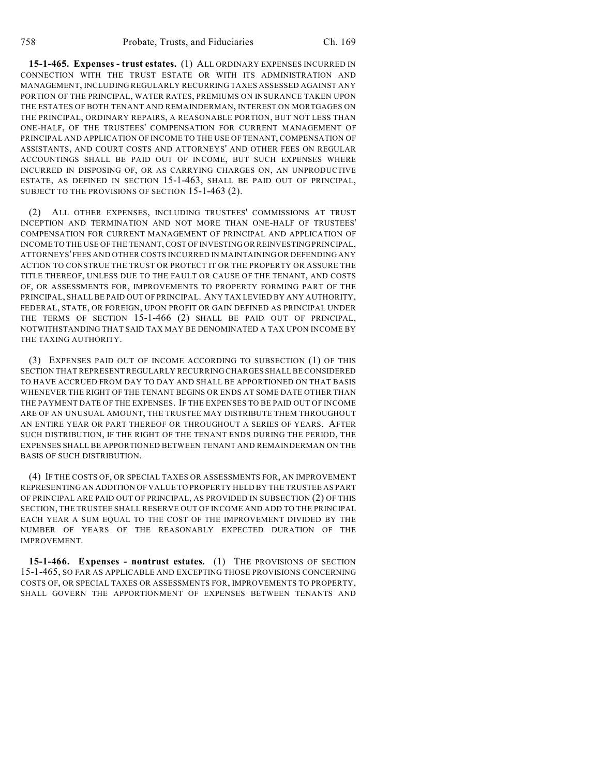**15-1-465. Expenses - trust estates.** (1) ALL ORDINARY EXPENSES INCURRED IN CONNECTION WITH THE TRUST ESTATE OR WITH ITS ADMINISTRATION AND MANAGEMENT, INCLUDING REGULARLY RECURRING TAXES ASSESSED AGAINST ANY PORTION OF THE PRINCIPAL, WATER RATES, PREMIUMS ON INSURANCE TAKEN UPON THE ESTATES OF BOTH TENANT AND REMAINDERMAN, INTEREST ON MORTGAGES ON THE PRINCIPAL, ORDINARY REPAIRS, A REASONABLE PORTION, BUT NOT LESS THAN ONE-HALF, OF THE TRUSTEES' COMPENSATION FOR CURRENT MANAGEMENT OF PRINCIPAL AND APPLICATION OF INCOME TO THE USE OF TENANT, COMPENSATION OF ASSISTANTS, AND COURT COSTS AND ATTORNEYS' AND OTHER FEES ON REGULAR ACCOUNTINGS SHALL BE PAID OUT OF INCOME, BUT SUCH EXPENSES WHERE INCURRED IN DISPOSING OF, OR AS CARRYING CHARGES ON, AN UNPRODUCTIVE ESTATE, AS DEFINED IN SECTION 15-1-463, SHALL BE PAID OUT OF PRINCIPAL, SUBJECT TO THE PROVISIONS OF SECTION 15-1-463 (2).

(2) ALL OTHER EXPENSES, INCLUDING TRUSTEES' COMMISSIONS AT TRUST INCEPTION AND TERMINATION AND NOT MORE THAN ONE-HALF OF TRUSTEES' COMPENSATION FOR CURRENT MANAGEMENT OF PRINCIPAL AND APPLICATION OF INCOME TO THE USE OF THE TENANT, COST OF INVESTING OR REINVESTING PRINCIPAL, ATTORNEYS' FEES AND OTHER COSTS INCURRED IN MAINTAINING OR DEFENDING ANY ACTION TO CONSTRUE THE TRUST OR PROTECT IT OR THE PROPERTY OR ASSURE THE TITLE THEREOF, UNLESS DUE TO THE FAULT OR CAUSE OF THE TENANT, AND COSTS OF, OR ASSESSMENTS FOR, IMPROVEMENTS TO PROPERTY FORMING PART OF THE PRINCIPAL, SHALL BE PAID OUT OF PRINCIPAL. ANY TAX LEVIED BY ANY AUTHORITY, FEDERAL, STATE, OR FOREIGN, UPON PROFIT OR GAIN DEFINED AS PRINCIPAL UNDER THE TERMS OF SECTION 15-1-466 (2) SHALL BE PAID OUT OF PRINCIPAL, NOTWITHSTANDING THAT SAID TAX MAY BE DENOMINATED A TAX UPON INCOME BY THE TAXING AUTHORITY.

(3) EXPENSES PAID OUT OF INCOME ACCORDING TO SUBSECTION (1) OF THIS SECTION THAT REPRESENT REGULARLY RECURRING CHARGES SHALL BE CONSIDERED TO HAVE ACCRUED FROM DAY TO DAY AND SHALL BE APPORTIONED ON THAT BASIS WHENEVER THE RIGHT OF THE TENANT BEGINS OR ENDS AT SOME DATE OTHER THAN THE PAYMENT DATE OF THE EXPENSES. IF THE EXPENSES TO BE PAID OUT OF INCOME ARE OF AN UNUSUAL AMOUNT, THE TRUSTEE MAY DISTRIBUTE THEM THROUGHOUT AN ENTIRE YEAR OR PART THEREOF OR THROUGHOUT A SERIES OF YEARS. AFTER SUCH DISTRIBUTION, IF THE RIGHT OF THE TENANT ENDS DURING THE PERIOD, THE EXPENSES SHALL BE APPORTIONED BETWEEN TENANT AND REMAINDERMAN ON THE BASIS OF SUCH DISTRIBUTION.

(4) IF THE COSTS OF, OR SPECIAL TAXES OR ASSESSMENTS FOR, AN IMPROVEMENT REPRESENTING AN ADDITION OF VALUE TO PROPERTY HELD BY THE TRUSTEE AS PART OF PRINCIPAL ARE PAID OUT OF PRINCIPAL, AS PROVIDED IN SUBSECTION (2) OF THIS SECTION, THE TRUSTEE SHALL RESERVE OUT OF INCOME AND ADD TO THE PRINCIPAL EACH YEAR A SUM EQUAL TO THE COST OF THE IMPROVEMENT DIVIDED BY THE NUMBER OF YEARS OF THE REASONABLY EXPECTED DURATION OF THE IMPROVEMENT.

**15-1-466. Expenses - nontrust estates.** (1) THE PROVISIONS OF SECTION 15-1-465, SO FAR AS APPLICABLE AND EXCEPTING THOSE PROVISIONS CONCERNING COSTS OF, OR SPECIAL TAXES OR ASSESSMENTS FOR, IMPROVEMENTS TO PROPERTY, SHALL GOVERN THE APPORTIONMENT OF EXPENSES BETWEEN TENANTS AND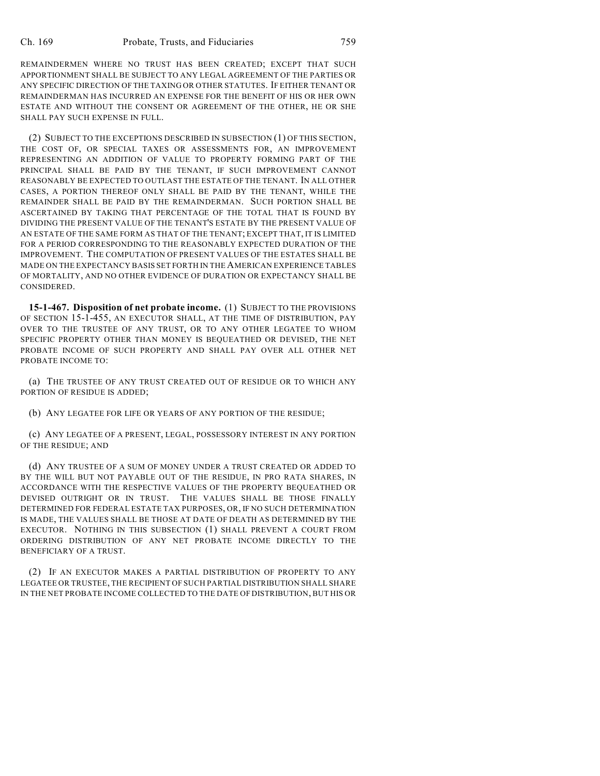REMAINDERMEN WHERE NO TRUST HAS BEEN CREATED; EXCEPT THAT SUCH APPORTIONMENT SHALL BE SUBJECT TO ANY LEGAL AGREEMENT OF THE PARTIES OR ANY SPECIFIC DIRECTION OF THE TAXING OR OTHER STATUTES. IF EITHER TENANT OR REMAINDERMAN HAS INCURRED AN EXPENSE FOR THE BENEFIT OF HIS OR HER OWN ESTATE AND WITHOUT THE CONSENT OR AGREEMENT OF THE OTHER, HE OR SHE SHALL PAY SUCH EXPENSE IN FULL.

(2) SUBJECT TO THE EXCEPTIONS DESCRIBED IN SUBSECTION (1) OF THIS SECTION, THE COST OF, OR SPECIAL TAXES OR ASSESSMENTS FOR, AN IMPROVEMENT REPRESENTING AN ADDITION OF VALUE TO PROPERTY FORMING PART OF THE PRINCIPAL SHALL BE PAID BY THE TENANT, IF SUCH IMPROVEMENT CANNOT REASONABLY BE EXPECTED TO OUTLAST THE ESTATE OF THE TENANT. IN ALL OTHER CASES, A PORTION THEREOF ONLY SHALL BE PAID BY THE TENANT, WHILE THE REMAINDER SHALL BE PAID BY THE REMAINDERMAN. SUCH PORTION SHALL BE ASCERTAINED BY TAKING THAT PERCENTAGE OF THE TOTAL THAT IS FOUND BY DIVIDING THE PRESENT VALUE OF THE TENANT'S ESTATE BY THE PRESENT VALUE OF AN ESTATE OF THE SAME FORM AS THAT OF THE TENANT; EXCEPT THAT, IT IS LIMITED FOR A PERIOD CORRESPONDING TO THE REASONABLY EXPECTED DURATION OF THE IMPROVEMENT. THE COMPUTATION OF PRESENT VALUES OF THE ESTATES SHALL BE MADE ON THE EXPECTANCY BASIS SET FORTH IN THE AMERICAN EXPERIENCE TABLES OF MORTALITY, AND NO OTHER EVIDENCE OF DURATION OR EXPECTANCY SHALL BE CONSIDERED.

**15-1-467. Disposition of net probate income.** (1) SUBJECT TO THE PROVISIONS OF SECTION 15-1-455, AN EXECUTOR SHALL, AT THE TIME OF DISTRIBUTION, PAY OVER TO THE TRUSTEE OF ANY TRUST, OR TO ANY OTHER LEGATEE TO WHOM SPECIFIC PROPERTY OTHER THAN MONEY IS BEQUEATHED OR DEVISED, THE NET PROBATE INCOME OF SUCH PROPERTY AND SHALL PAY OVER ALL OTHER NET PROBATE INCOME TO:

(a) THE TRUSTEE OF ANY TRUST CREATED OUT OF RESIDUE OR TO WHICH ANY PORTION OF RESIDUE IS ADDED;

(b) ANY LEGATEE FOR LIFE OR YEARS OF ANY PORTION OF THE RESIDUE;

(c) ANY LEGATEE OF A PRESENT, LEGAL, POSSESSORY INTEREST IN ANY PORTION OF THE RESIDUE; AND

(d) ANY TRUSTEE OF A SUM OF MONEY UNDER A TRUST CREATED OR ADDED TO BY THE WILL BUT NOT PAYABLE OUT OF THE RESIDUE, IN PRO RATA SHARES, IN ACCORDANCE WITH THE RESPECTIVE VALUES OF THE PROPERTY BEQUEATHED OR DEVISED OUTRIGHT OR IN TRUST. THE VALUES SHALL BE THOSE FINALLY DETERMINED FOR FEDERAL ESTATE TAX PURPOSES, OR, IF NO SUCH DETERMINATION IS MADE, THE VALUES SHALL BE THOSE AT DATE OF DEATH AS DETERMINED BY THE EXECUTOR. NOTHING IN THIS SUBSECTION (1) SHALL PREVENT A COURT FROM ORDERING DISTRIBUTION OF ANY NET PROBATE INCOME DIRECTLY TO THE BENEFICIARY OF A TRUST.

(2) IF AN EXECUTOR MAKES A PARTIAL DISTRIBUTION OF PROPERTY TO ANY LEGATEE OR TRUSTEE, THE RECIPIENT OF SUCH PARTIAL DISTRIBUTION SHALL SHARE IN THE NET PROBATE INCOME COLLECTED TO THE DATE OF DISTRIBUTION, BUT HIS OR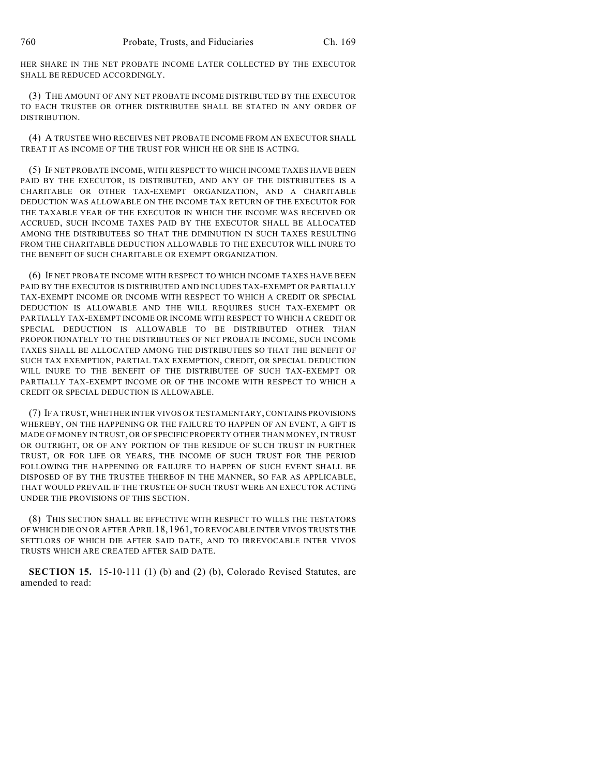HER SHARE IN THE NET PROBATE INCOME LATER COLLECTED BY THE EXECUTOR SHALL BE REDUCED ACCORDINGLY.

(3) THE AMOUNT OF ANY NET PROBATE INCOME DISTRIBUTED BY THE EXECUTOR TO EACH TRUSTEE OR OTHER DISTRIBUTEE SHALL BE STATED IN ANY ORDER OF DISTRIBUTION.

(4) A TRUSTEE WHO RECEIVES NET PROBATE INCOME FROM AN EXECUTOR SHALL TREAT IT AS INCOME OF THE TRUST FOR WHICH HE OR SHE IS ACTING.

(5) IF NET PROBATE INCOME, WITH RESPECT TO WHICH INCOME TAXES HAVE BEEN PAID BY THE EXECUTOR, IS DISTRIBUTED, AND ANY OF THE DISTRIBUTEES IS A CHARITABLE OR OTHER TAX-EXEMPT ORGANIZATION, AND A CHARITABLE DEDUCTION WAS ALLOWABLE ON THE INCOME TAX RETURN OF THE EXECUTOR FOR THE TAXABLE YEAR OF THE EXECUTOR IN WHICH THE INCOME WAS RECEIVED OR ACCRUED, SUCH INCOME TAXES PAID BY THE EXECUTOR SHALL BE ALLOCATED AMONG THE DISTRIBUTEES SO THAT THE DIMINUTION IN SUCH TAXES RESULTING FROM THE CHARITABLE DEDUCTION ALLOWABLE TO THE EXECUTOR WILL INURE TO THE BENEFIT OF SUCH CHARITABLE OR EXEMPT ORGANIZATION.

(6) IF NET PROBATE INCOME WITH RESPECT TO WHICH INCOME TAXES HAVE BEEN PAID BY THE EXECUTOR IS DISTRIBUTED AND INCLUDES TAX-EXEMPT OR PARTIALLY TAX-EXEMPT INCOME OR INCOME WITH RESPECT TO WHICH A CREDIT OR SPECIAL DEDUCTION IS ALLOWABLE AND THE WILL REQUIRES SUCH TAX-EXEMPT OR PARTIALLY TAX-EXEMPT INCOME OR INCOME WITH RESPECT TO WHICH A CREDIT OR SPECIAL DEDUCTION IS ALLOWABLE TO BE DISTRIBUTED OTHER THAN PROPORTIONATELY TO THE DISTRIBUTEES OF NET PROBATE INCOME, SUCH INCOME TAXES SHALL BE ALLOCATED AMONG THE DISTRIBUTEES SO THAT THE BENEFIT OF SUCH TAX EXEMPTION, PARTIAL TAX EXEMPTION, CREDIT, OR SPECIAL DEDUCTION WILL INURE TO THE BENEFIT OF THE DISTRIBUTEE OF SUCH TAX-EXEMPT OR PARTIALLY TAX-EXEMPT INCOME OR OF THE INCOME WITH RESPECT TO WHICH A CREDIT OR SPECIAL DEDUCTION IS ALLOWABLE.

(7) IF A TRUST, WHETHER INTER VIVOS OR TESTAMENTARY, CONTAINS PROVISIONS WHEREBY, ON THE HAPPENING OR THE FAILURE TO HAPPEN OF AN EVENT, A GIFT IS MADE OF MONEY IN TRUST, OR OF SPECIFIC PROPERTY OTHER THAN MONEY, IN TRUST OR OUTRIGHT, OR OF ANY PORTION OF THE RESIDUE OF SUCH TRUST IN FURTHER TRUST, OR FOR LIFE OR YEARS, THE INCOME OF SUCH TRUST FOR THE PERIOD FOLLOWING THE HAPPENING OR FAILURE TO HAPPEN OF SUCH EVENT SHALL BE DISPOSED OF BY THE TRUSTEE THEREOF IN THE MANNER, SO FAR AS APPLICABLE, THAT WOULD PREVAIL IF THE TRUSTEE OF SUCH TRUST WERE AN EXECUTOR ACTING UNDER THE PROVISIONS OF THIS SECTION.

(8) THIS SECTION SHALL BE EFFECTIVE WITH RESPECT TO WILLS THE TESTATORS OF WHICH DIE ON OR AFTER APRIL 18, 1961, TO REVOCABLE INTER VIVOS TRUSTS THE SETTLORS OF WHICH DIE AFTER SAID DATE, AND TO IRREVOCABLE INTER VIVOS TRUSTS WHICH ARE CREATED AFTER SAID DATE.

**SECTION 15.** 15-10-111 (1) (b) and (2) (b), Colorado Revised Statutes, are amended to read: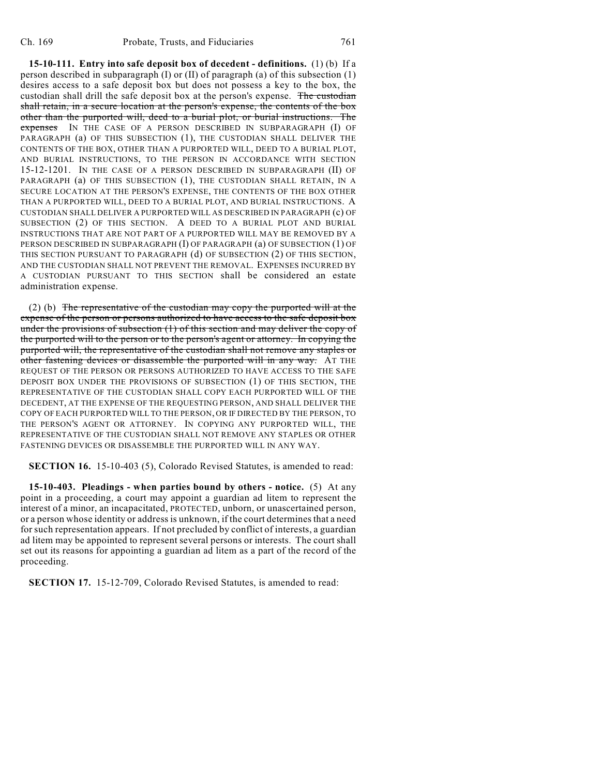**15-10-111. Entry into safe deposit box of decedent - definitions.** (1) (b) If a person described in subparagraph (I) or (II) of paragraph (a) of this subsection (1) desires access to a safe deposit box but does not possess a key to the box, the custodian shall drill the safe deposit box at the person's expense. The custodian shall retain, in a secure location at the person's expense, the contents of the box other than the purported will, deed to a burial plot, or burial instructions. The expenses IN THE CASE OF A PERSON DESCRIBED IN SUBPARAGRAPH (I) OF PARAGRAPH (a) OF THIS SUBSECTION (1), THE CUSTODIAN SHALL DELIVER THE CONTENTS OF THE BOX, OTHER THAN A PURPORTED WILL, DEED TO A BURIAL PLOT, AND BURIAL INSTRUCTIONS, TO THE PERSON IN ACCORDANCE WITH SECTION 15-12-1201. IN THE CASE OF A PERSON DESCRIBED IN SUBPARAGRAPH (II) OF PARAGRAPH (a) OF THIS SUBSECTION (1), THE CUSTODIAN SHALL RETAIN, IN A SECURE LOCATION AT THE PERSON'S EXPENSE, THE CONTENTS OF THE BOX OTHER THAN A PURPORTED WILL, DEED TO A BURIAL PLOT, AND BURIAL INSTRUCTIONS. A CUSTODIAN SHALL DELIVER A PURPORTED WILL AS DESCRIBED IN PARAGRAPH (c) OF SUBSECTION (2) OF THIS SECTION. A DEED TO A BURIAL PLOT AND BURIAL INSTRUCTIONS THAT ARE NOT PART OF A PURPORTED WILL MAY BE REMOVED BY A PERSON DESCRIBED IN SUBPARAGRAPH (I) OF PARAGRAPH (a) OF SUBSECTION (1) OF THIS SECTION PURSUANT TO PARAGRAPH (d) OF SUBSECTION (2) OF THIS SECTION, AND THE CUSTODIAN SHALL NOT PREVENT THE REMOVAL. EXPENSES INCURRED BY A CUSTODIAN PURSUANT TO THIS SECTION shall be considered an estate administration expense.

(2) (b) The representative of the custodian may copy the purported will at the expense of the person or persons authorized to have access to the safe deposit box under the provisions of subsection (1) of this section and may deliver the copy of the purported will to the person or to the person's agent or attorney. In copying the purported will, the representative of the custodian shall not remove any staples or other fastening devices or disassemble the purported will in any way. AT THE REQUEST OF THE PERSON OR PERSONS AUTHORIZED TO HAVE ACCESS TO THE SAFE DEPOSIT BOX UNDER THE PROVISIONS OF SUBSECTION (1) OF THIS SECTION, THE REPRESENTATIVE OF THE CUSTODIAN SHALL COPY EACH PURPORTED WILL OF THE DECEDENT, AT THE EXPENSE OF THE REQUESTING PERSON, AND SHALL DELIVER THE COPY OF EACH PURPORTED WILL TO THE PERSON, OR IF DIRECTED BY THE PERSON, TO THE PERSON'S AGENT OR ATTORNEY. IN COPYING ANY PURPORTED WILL, THE REPRESENTATIVE OF THE CUSTODIAN SHALL NOT REMOVE ANY STAPLES OR OTHER FASTENING DEVICES OR DISASSEMBLE THE PURPORTED WILL IN ANY WAY.

**SECTION 16.** 15-10-403 (5), Colorado Revised Statutes, is amended to read:

**15-10-403. Pleadings - when parties bound by others - notice.** (5) At any point in a proceeding, a court may appoint a guardian ad litem to represent the interest of a minor, an incapacitated, PROTECTED, unborn, or unascertained person, or a person whose identity or address is unknown, if the court determines that a need for such representation appears. If not precluded by conflict of interests, a guardian ad litem may be appointed to represent several persons or interests. The court shall set out its reasons for appointing a guardian ad litem as a part of the record of the proceeding.

**SECTION 17.** 15-12-709, Colorado Revised Statutes, is amended to read: